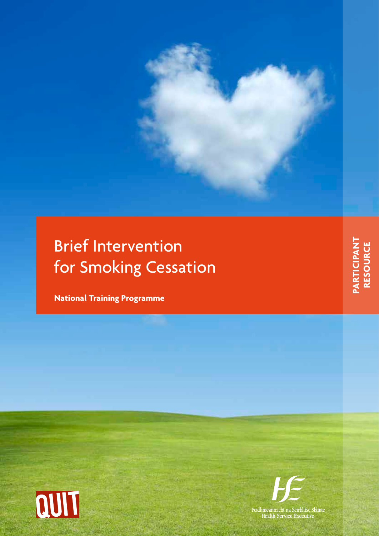# Brief Intervention for Smoking Cessation

**National Training Programme**





**PARTICIPANT**<br>RESOURCE **PARTICIPANT RESOURCE**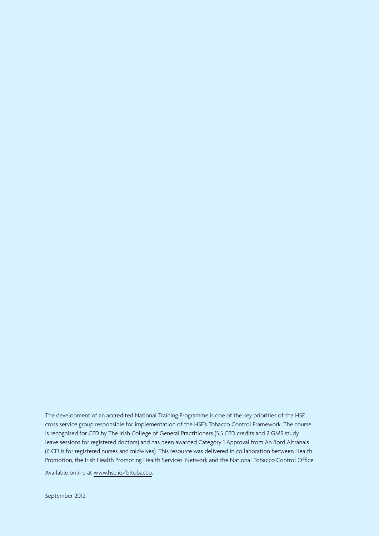The development of an accredited National Training Programme is one of the key priorities of the HSE cross service group responsible for implementation of the HSE's Tobacco Control Framework. The course is recognised for CPD by The Irish College of General Practitioners (5.5 CPD credits and 2 GMS study leave sessions for registered doctors) and has been awarded Category 1 Approval from An Bord Altranais (6 CEUs for registered nurses and midwives). This resource was delivered in collaboration between Health Promotion, the Irish Health Promoting Health Services' Network and the National Tobacco Control Office.

Available online at [www.hse.ie/bitobacco.](http://www.hse.ie/bitobacco)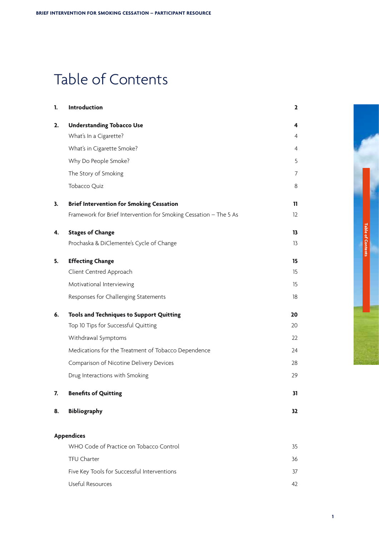# Table of Contents

| 1. | <b>Introduction</b>                                               | $\overline{\mathbf{c}}$ |
|----|-------------------------------------------------------------------|-------------------------|
| 2. | <b>Understanding Tobacco Use</b>                                  | 4                       |
|    | What's In a Cigarette?                                            | 4                       |
|    | What's in Cigarette Smoke?                                        | 4                       |
|    | Why Do People Smoke?                                              | 5                       |
|    | The Story of Smoking                                              | 7                       |
|    | Tobacco Quiz                                                      | 8                       |
| 3. | <b>Brief Intervention for Smoking Cessation</b>                   | 11                      |
|    | Framework for Brief Intervention for Smoking Cessation - The 5 As | 12                      |
| 4. | <b>Stages of Change</b>                                           | 13                      |
|    | Prochaska & DiClemente's Cycle of Change                          | 13                      |
| 5. | <b>Effecting Change</b>                                           | 15                      |
|    | Client Centred Approach                                           | 15                      |
|    | Motivational Interviewing                                         | 15                      |
|    | Responses for Challenging Statements                              | 18                      |
| 6. | <b>Tools and Techniques to Support Quitting</b>                   | 20                      |
|    | Top 10 Tips for Successful Quitting                               | 20                      |
|    | Withdrawal Symptoms                                               | 22                      |
|    | Medications for the Treatment of Tobacco Dependence               | 24                      |
|    | Comparison of Nicotine Delivery Devices                           | 28                      |
|    | Drug Interactions with Smoking                                    | 29                      |
| 7. | <b>Benefits of Quitting</b>                                       | 31                      |
| 8. | <b>Bibliography</b>                                               | 32                      |
|    | <b>Appendices</b>                                                 |                         |
|    | WHO Code of Practice on Tobacco Control                           | 35                      |
|    | <b>TFU Charter</b>                                                | 36                      |
|    | Five Key Tools for Successful Interventions                       | 37                      |

 [Useful](#page-43-0) Resources 42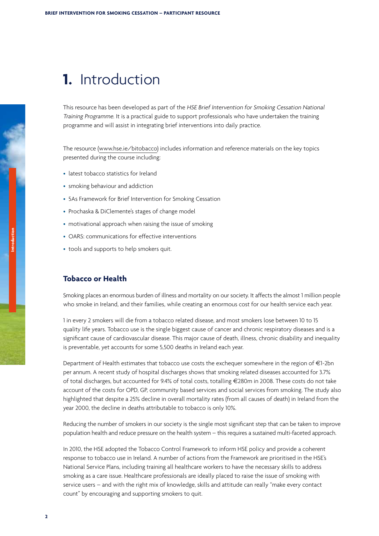# <span id="page-3-0"></span>**1.** Introduction

This resource has been developed as part of the HSE Brief Intervention for Smoking Cessation National Training Programme. It is a practical guide to support professionals who have undertaken the training programme and will assist in integrating brief interventions into daily practice.

The resource ([www.hse.ie/bitobacco\)](http://www.hse.ie/bitobacco) includes information and reference materials on the key topics presented during the course including:

- latest tobacco statistics for Ireland
- smoking behaviour and addiction
- 5As Framework for Brief Intervention for Smoking Cessation
- Prochaska & DiClemente's stages of change model
- motivational approach when raising the issue of smoking
- OARS: communications for effective interventions
- tools and supports to help smokers quit.

### **Tobacco or Health**

Smoking places an enormous burden of illness and mortality on our society. It affects the almost 1 million people who smoke in Ireland, and their families, while creating an enormous cost for our health service each year.

1 in every 2 smokers will die from a tobacco related disease, and most smokers lose between 10 to 15 quality life years. Tobacco use is the single biggest cause of cancer and chronic respiratory diseases and is a significant cause of cardiovascular disease. This major cause of death, illness, chronic disability and inequality is preventable, yet accounts for some 5,500 deaths in Ireland each year.

Department of Health estimates that tobacco use costs the exchequer somewhere in the region of €1-2bn per annum. A recent study of hospital discharges shows that smoking related diseases accounted for 3.7% of total discharges, but accounted for 9.4% of total costs, totalling €280m in 2008. These costs do not take account of the costs for OPD, GP, community based services and social services from smoking. The study also highlighted that despite a 25% decline in overall mortality rates (from all causes of death) in Ireland from the year 2000, the decline in deaths attributable to tobacco is only 10%.

Reducing the number of smokers in our society is the single most significant step that can be taken to improve population health and reduce pressure on the health system – this requires a sustained multi-faceted approach.

In 2010, the HSE adopted the Tobacco Control Framework to inform HSE policy and provide a coherent response to tobacco use in Ireland. A number of actions from the Framework are prioritised in the HSE's National Service Plans, including training all healthcare workers to have the necessary skills to address smoking as a care issue. Healthcare professionals are ideally placed to raise the issue of smoking with service users – and with the right mix of knowledge, skills and attitude can really "make every contact count" by encouraging and supporting smokers to quit.

**Introduction**

**2**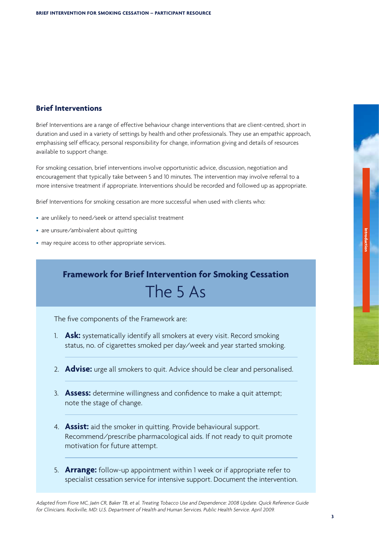### **Brief Interventions**

Brief Interventions are a range of effective behaviour change interventions that are client-centred, short in duration and used in a variety of settings by health and other professionals. They use an empathic approach, emphasising self efficacy, personal responsibility for change, information giving and details of resources available to support change.

For smoking cessation, brief interventions involve opportunistic advice, discussion, negotiation and encouragement that typically take between 5 and 10 minutes. The intervention may involve referral to a more intensive treatment if appropriate. Interventions should be recorded and followed up as appropriate.

Brief Interventions for smoking cessation are more successful when used with clients who:

- are unlikely to need/seek or attend specialist treatment
- are unsure/ambivalent about quitting
- may require access to other appropriate services.

# **Framework for Brief Intervention for Smoking Cessation** The 5 As

The five components of the Framework are:

- 1. **Ask:** systematically identify all smokers at every visit. Record smoking status, no. of cigarettes smoked per day/week and year started smoking.
- 2. **Advise:** urge all smokers to quit. Advice should be clear and personalised.
- 3. **Assess:** determine willingness and confidence to make a quit attempt; note the stage of change.
- 4. **Assist:** aid the smoker in quitting. Provide behavioural support. Recommend/prescribe pharmacological aids. If not ready to quit promote motivation for future attempt.
- 5. **Arrange:** follow-up appointment within 1 week or if appropriate refer to specialist cessation service for intensive support. Document the intervention.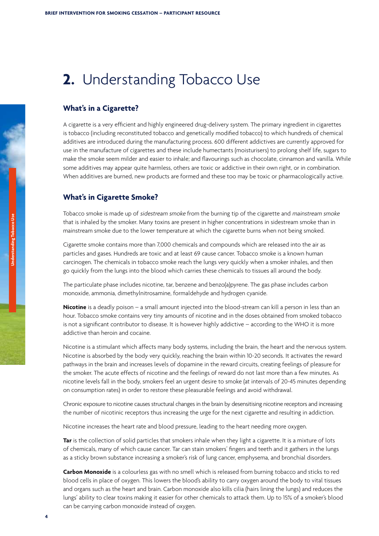# <span id="page-5-0"></span>**2.** Understanding Tobacco Use

### **What's in a Cigarette?**

A cigarette is a very efficient and highly engineered drug-delivery system. The primary ingredient in cigarettes is tobacco (including reconstituted tobacco and genetically modified tobacco) to which hundreds of chemical additives are introduced during the manufacturing process. 600 different addictives are currently approved for use in the manufacture of cigarettes and these include humectants (moisturisers) to prolong shelf life, sugars to make the smoke seem milder and easier to inhale; and flavourings such as chocolate, cinnamon and vanilla. While some additives may appear quite harmless, others are toxic or addictive in their own right, or in combination. When additives are burned, new products are formed and these too may be toxic or pharmacologically active.

### **What's in Cigarette Smoke?**

Tobacco smoke is made up of sidestream smoke from the burning tip of the cigarette and mainstream smoke that is inhaled by the smoker. Many toxins are present in higher concentrations in sidestream smoke than in mainstream smoke due to the lower temperature at which the cigarette burns when not being smoked.

Cigarette smoke contains more than 7,000 chemicals and compounds which are released into the air as particles and gases. Hundreds are toxic and at least 69 cause cancer. Tobacco smoke is a known human carcinogen. The chemicals in tobacco smoke reach the lungs very quickly when a smoker inhales, and then go quickly from the lungs into the blood which carries these chemicals to tissues all around the body.

The particulate phase includes nicotine, tar, benzene and benzo(a)pyrene. The gas phase includes carbon monoxide, ammonia, dimethylnitrosamine, formaldehyde and hydrogen cyanide.

**Nicotine** is a deadly poison – a small amount injected into the blood-stream can kill a person in less than an hour. Tobacco smoke contains very tiny amounts of nicotine and in the doses obtained from smoked tobacco is not a significant contributor to disease. It is however highly addictive – according to the WHO it is more addictive than heroin and cocaine.

Nicotine is a stimulant which affects many body systems, including the brain, the heart and the nervous system. Nicotine is absorbed by the body very quickly, reaching the brain within 10-20 seconds. It activates the reward pathways in the brain and increases levels of dopamine in the reward circuits, creating feelings of pleasure for the smoker. The acute effects of nicotine and the feelings of reward do not last more than a few minutes. As nicotine levels fall in the body, smokers feel an urgent desire to smoke (at intervals of 20-45 minutes depending on consumption rates) in order to restore these pleasurable feelings and avoid withdrawal.

Chronic exposure to nicotine causes structural changes in the brain by desensitising nicotine receptors and increasing the number of nicotinic receptors thus increasing the urge for the next cigarette and resulting in addiction.

Nicotine increases the heart rate and blood pressure, leading to the heart needing more oxygen.

**Tar** is the collection of solid particles that smokers inhale when they light a cigarette. It is a mixture of lots of chemicals, many of which cause cancer. Tar can stain smokers' fingers and teeth and it gathers in the lungs as a sticky brown substance increasing a smoker's risk of lung cancer, emphysema, and bronchial disorders.

**Carbon Monoxide** is a colourless gas with no smell which is released from burning tobacco and sticks to red blood cells in place of oxygen. This lowers the blood's ability to carry oxygen around the body to vital tissues and organs such as the heart and brain. Carbon monoxide also kills cilia (hairs lining the lungs) and reduces the lungs' ability to clear toxins making it easier for other chemicals to attack them. Up to 15% of a smoker's blood can be carrying carbon monoxide instead of oxygen.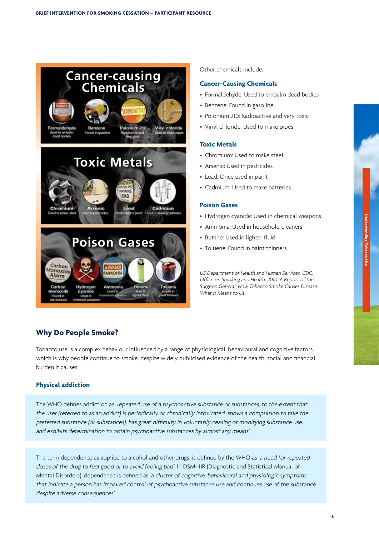<span id="page-6-0"></span>

Other chemicals include:

### **Cancer-Causing Chemicals**

- Formaldehyde: Used to embalm dead bodies
- Benzene: Found in gasoline
- Polonium 210: Radioactive and very toxic
- Vinyl chloride: Used to make pipes

### **Toxic Metals**

- Chromium: Used to make steel
- Arsenic: Used in pesticides
- Lead: Once used in paint
- • Cadmium: Used to make batteries

### **Poison Gases**

- Hydrogen cyanide: Used in chemical weapons
- • Ammonia: Used in household cleaners
- Butane: Used in lighter fluid
- Toluene: Found in paint thinners

US Department of Health and Human Services, CDC, Office on Smoking and Health, 2010. <sup>A</sup> Report of the Surgeon General: How Tobacco Smoke Causes Disease: What it Means to Us.

### **Why Do People Smoke?**

Tobacco use is a complex behaviour influenced by a range of physiological, behavioural and cognitive factors which is why people continue to smoke, despite widely publicised evidence of the health, social and financial burden it causes.

### **Physical addiction**

**4 5**

The WHO defines addiction as 'repeated use of <sup>a</sup> psychoactive substance or substances, to the extent that the user (referred to as an addict) is periodically or chronically intoxicated, shows <sup>a</sup> compulsion to take the preferred substance (or substances), has great difficulty in voluntarily ceasing or modifying substance use, and exhibits determination to obtain psychoactive substances by almost any means'.

The term dependence as applied to alcohol and other drugs, is defined by the WHO as 'a need for repeated doses of the drug to feel good or to avoid feeling bad'. In DSM-IIIR (Diagnostic and Statistical Manual of Mental Disorders), dependence is defined as 'a cluster of cognitive, behavioural and <sup>p</sup>hysiologic symptoms that indicate <sup>a</sup> person has impaired control of psychoactive substance use and continues use of the substance despite adverse consequences'.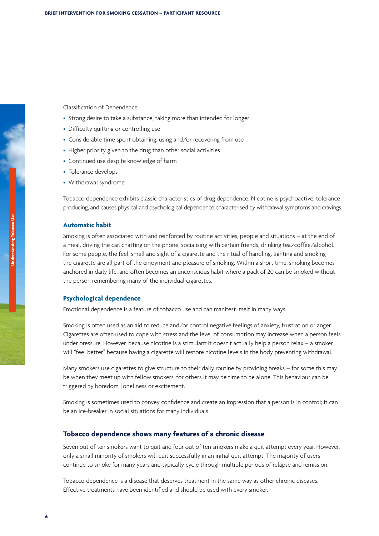Classification of Dependence

- Strong desire to take a substance, taking more than intended for longer
- Difficulty quitting or controlling use
- Considerable time spent obtaining, using and/or recovering from use
- Higher priority given to the drug than other social activities
- Continued use despite knowledge of harm
- Tolerance develops
- • Withdrawal syndrome

Tobacco dependence exhibits classic characteristics of drug dependence. Nicotine is psychoactive, tolerance producing, and causes physical and psychological dependence characterised by withdrawal symptoms and cravings.

#### **Automatic habit**

Smoking is often associated with and reinforced by routine activities, people and situations – at the end of a meal, driving the car, chatting on the phone, socialising with certain friends, drinking tea/coffee/alcohol. For some people, the feel, smell and sight of a cigarette and the ritual of handling, lighting and smoking the cigarette are all part of the enjoyment and pleasure of smoking. Within a short time, smoking becomes anchored in daily life, and often becomes an unconscious habit where a pack of 20 can be smoked without the person remembering many of the individual cigarettes.

### **Psychological dependence**

Emotional dependence is a feature of tobacco use and can manifest itself in many ways.

Smoking is often used as an aid to reduce and/or control negative feelings of anxiety, frustration or anger. Cigarettes are often used to cope with stress and the level of consumption may increase when a person feels under pressure. However, because nicotine is a stimulant it doesn't actually help a person relax – a smoker will "feel better" because having a cigarette will restore nicotine levels in the body preventing withdrawal.

Many smokers use cigarettes to give structure to their daily routine by providing breaks – for some this may be when they meet up with fellow smokers, for others it may be time to be alone. This behaviour can be triggered by boredom, loneliness or excitement.

Smoking is sometimes used to convey confidence and create an impression that a person is in control; it can be an ice-breaker in social situations for many individuals.

#### **Tobacco dependence shows many features of a chronic disease**

Seven out of ten smokers want to quit and four out of ten smokers make a quit attempt every year. However, only a small minority of smokers will quit successfully in an initial quit attempt. The majority of users continue to smoke for many years and typically cycle through multiple periods of relapse and remission.

Tobacco dependence is a disease that deserves treatment in the same way as other chronic diseases. Effective treatments have been identified and should be used with every smoker.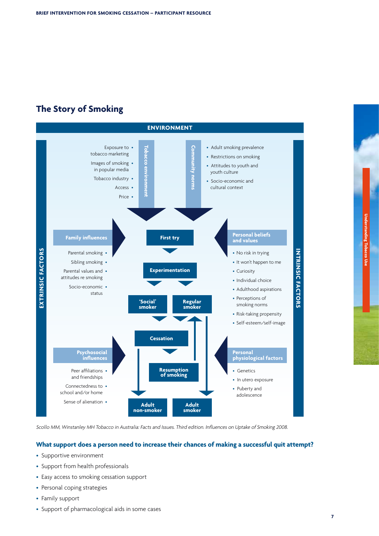## <span id="page-8-0"></span>**The Story of Smoking**



Scollo MM, Winstanley MH Tobacco in Australia: Facts and Issues. Third edition. Influences on Uptake of Smoking 2008.

### **What support does a person need to increase their chances of making a successful quit attempt?**

- Supportive environment
- Support from health professionals
- Easy access to smoking cessation support
- Personal coping strategies
- Family support
- Support of pharmacological aids in some cases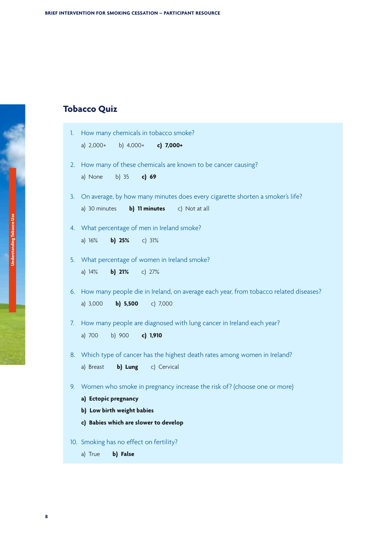## <span id="page-9-0"></span>**Tobacco Quiz**

| $\mathbb{L}$ | How many chemicals in tobacco smoke?                                                    |
|--------------|-----------------------------------------------------------------------------------------|
|              | b) $4,000+$<br>a) $2,000+$<br>c) 7,000+                                                 |
| 2.           | How many of these chemicals are known to be cancer causing?                             |
|              | b) $35$<br>c) 69<br>a) None                                                             |
| 3.           | On average, by how many minutes does every cigarette shorten a smoker's life?           |
|              | a) 30 minutes<br>b) 11 minutes<br>c) Not at all                                         |
| 4.           | What percentage of men in Ireland smoke?                                                |
|              | a) $16%$<br>b) $25%$<br>c) $31%$                                                        |
| 5.           | What percentage of women in Ireland smoke?                                              |
|              | a) $14%$<br>$b)$ 21%<br>c) $27%$                                                        |
|              | 6. How many people die in Ireland, on average each year, from tobacco related diseases? |
|              | a) 3,000<br>b) 5,500<br>c) 7,000                                                        |
| 7.           | How many people are diagnosed with lung cancer in Ireland each year?                    |
|              | b) 900<br>c) 1,910<br>a) 700                                                            |
| 8.           | Which type of cancer has the highest death rates among women in Ireland?                |
|              | b) Lung<br>c) Cervical<br>a) Breast                                                     |
| 9.           | Women who smoke in pregnancy increase the risk of? (choose one or more)                 |
|              | a) Ectopic pregnancy                                                                    |
|              | b) Low birth weight babies                                                              |
|              | c) Babies which are slower to develop                                                   |
|              | 10. Smoking has no effect on fertility?                                                 |

a) True **b) False**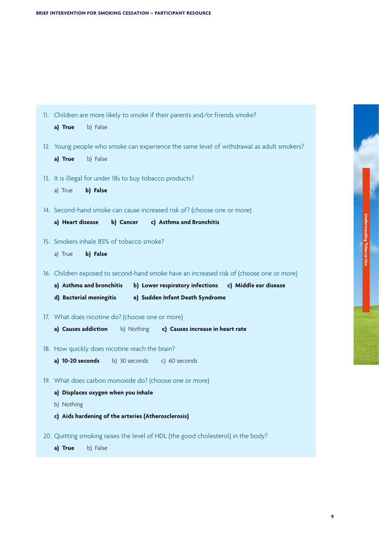| 11. Children are more likely to smoke if their parents and/or friends smoke?             |
|------------------------------------------------------------------------------------------|
| a) True<br>b) False                                                                      |
| 12. Young people who smoke can experience the same level of withdrawal as adult smokers? |
| a) True<br>b) False                                                                      |
| 13. It is illegal for under 18s to buy tobacco products?                                 |
| a) True<br>b) False                                                                      |
| 14. Second-hand smoke can cause increased risk of? (choose one or more)                  |
| b) Cancer c) Asthma and Bronchitis<br>a) Heart disease                                   |
| 15. Smokers inhale 85% of tobacco smoke?                                                 |
| b) False<br>a) True                                                                      |
| 16. Children exposed to second-hand smoke have an increased risk of (choose one or more) |
| b) Lower respiratory infections c) Middle ear disease<br>a) Asthma and bronchitis        |
| d) Bacterial meningitis e) Sudden Infant Death Syndrome                                  |
| 17. What does nicotine do? (choose one or more)                                          |
| a) Causes addiction<br>b) Nothing<br>c) Causes increase in heart rate                    |
| 18. How quickly does nicotine reach the brain?                                           |
| a) 10-20 seconds b) 30 seconds c) 60 seconds                                             |
| 19. What does carbon monoxide do? (choose one or more)                                   |
| a) Displaces oxygen when you inhale                                                      |
| b) Nothing                                                                               |
| c) Aids hardening of the arteries (Atherosclerosis)                                      |
| 20. Quitting smoking raises the level of HDL (the good cholesterol) in the body?         |
| a) True<br>b) False                                                                      |

**Understanding Tobacco Use**

**Understanding Tobacco Use**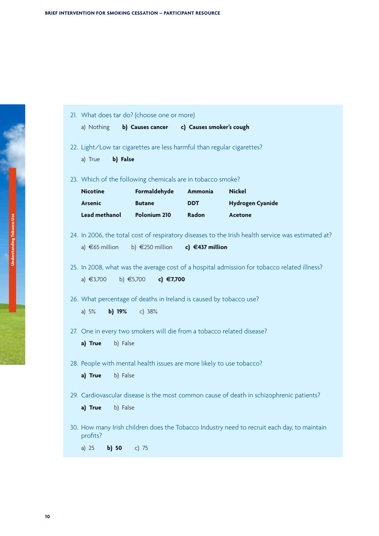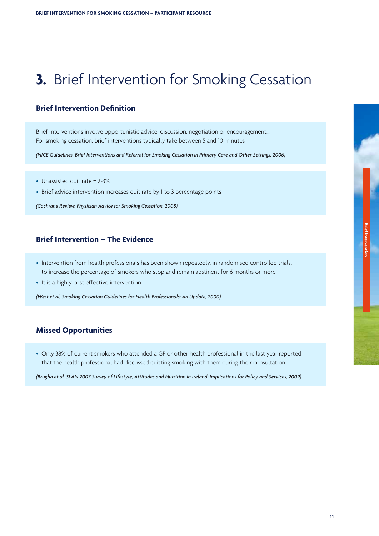# <span id="page-12-0"></span>**3.** Brief Intervention for Smoking Cessation

### **Brief Intervention Definition**

Brief Interventions involve opportunistic advice, discussion, negotiation or encouragement… For smoking cessation, brief interventions typically take between 5 and 10 minutes

*(NICE Guidelines, Brief Interventions and Referral for Smoking Cessation in Primary Care and Other Settings, 2006)*

- Unassisted quit rate = 2-3%
- Brief advice intervention increases quit rate by 1 to 3 percentage points

*(Cochrane Review, Physician Advice for Smoking Cessation, 2008)*

### **Brief Intervention – The Evidence**

- • Intervention from health professionals has been shown repeatedly, in randomised controlled trials, to increase the percentage of smokers who stop and remain abstinent for 6 months or more
- It is a highly cost effective intervention

*(West et al, Smoking Cessation Guidelines for Health Professionals: An Update, 2000)*

### **Missed Opportunities**

**10 11**

• Only 38% of current smokers who attended a GP or other health professional in the last year reported that the health professional had discussed quitting smoking with them during their consultation.

*(Brugha et al, SLÁN 2007 Survey of Lifestyle, Attitudes and Nutrition in Ireland: Implications for Policy and Services, 2009)*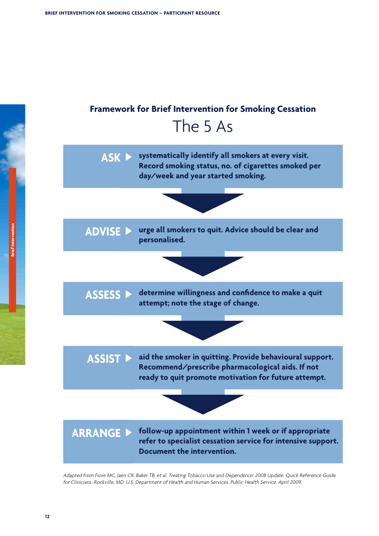<span id="page-13-0"></span>

Adapted from Fiore MC, Jaén CR, Baker TB, et al. Treating Tobacco Use and Dependence: <sup>2008</sup> Update. Quick Reference Guide for Clinicians. Rockville, MD: U.S. Department of Health and Human Services. Public Health Service. April 2009.

**Brief Intervention**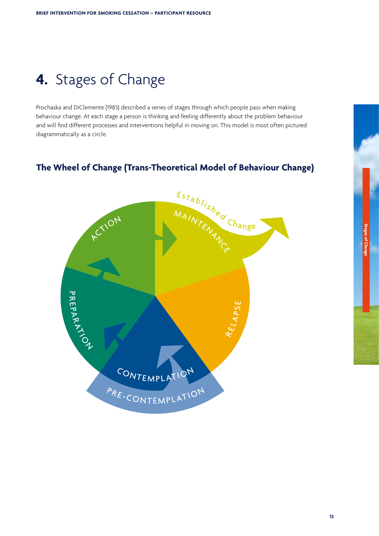# <span id="page-14-0"></span>**4.** Stages of Change

Prochaska and DiClemente (1983) described a series of stages through which people pass when making behaviour change. At each stage a person is thinking and feeling differently about the problem behaviour and will find different processes and interventions helpful in moving on. This model is most often pictured diagrammatically as a circle.

### **The Wheel of Change (Trans-Theoretical Model of Behaviour Change)**

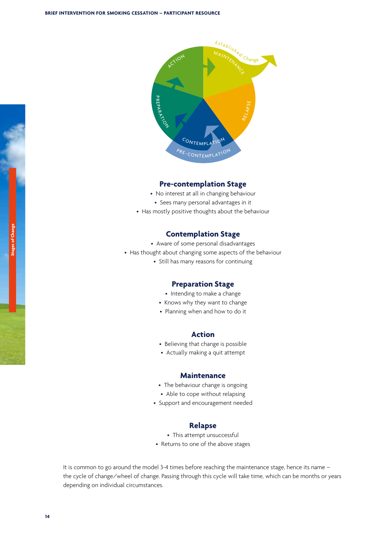

### **Pre-contemplation Stage**

- No interest at all in changing behaviour
- Sees many personal advantages in it
- Has mostly positive thoughts about the behaviour

## **Contemplation Stage Contemplation Stage**<br>re of some personal disadvan<br>oout changing some aspects c

- Aware of some personal disadvantages
- Has thought about changing some aspects of the behaviour
	- Still has many reasons for continuing

### **Preparation Stage Preparation Stage**<br>• Intending to make a change

- 
- Intending to make a change<br>• Knows why they want to change
- $\bullet$  Planning when and how to do it

### **Action**

- Believing that change is possible
- Actually making a quit attempt

#### **Maintenance**

- The behaviour change is ongoing
- Able to cope without relapsing
- Support and encouragement needed

### **Relapse**

- This attempt unsuccessful
- Returns to one of the above stages

It is common to go around the model 3-4 times before reaching the maintenance stage, hence its name – the cycle of change/wheel of change. Passing through this cycle will take time, which can be months or years depending on individual circumstances.

**Stages of Change**

**Stages of Change** 

**14**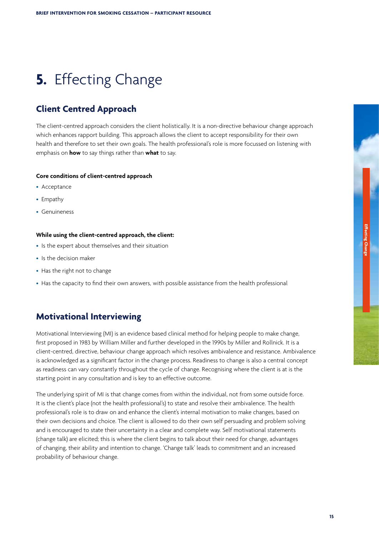# <span id="page-16-0"></span>**5.** Effecting Change

### **Client Centred Approach**

The client-centred approach considers the client holistically. It is a non-directive behaviour change approach which enhances rapport building. This approach allows the client to accept responsibility for their own health and therefore to set their own goals. The health professional's role is more focussed on listening with emphasis on **how** to say things rather than **what** to say.

#### **Core conditions of client-centred approach**

- Acceptance
- Empathy
- • Genuineness

#### **While using the client-centred approach, the client:**

- Is the expert about themselves and their situation
- • Is the decision maker
- Has the right not to change
- Has the capacity to find their own answers, with possible assistance from the health professional

### **Motivational Interviewing**

Motivational Interviewing (MI) is an evidence based clinical method for helping people to make change, first proposed in 1983 by William Miller and further developed in the 1990s by Miller and Rollnick. It is a client-centred, directive, behaviour change approach which resolves ambivalence and resistance. Ambivalence is acknowledged as a significant factor in the change process. Readiness to change is also a central concept as readiness can vary constantly throughout the cycle of change. Recognising where the client is at is the starting point in any consultation and is key to an effective outcome.

The underlying spirit of MI is that change comes from within the individual, not from some outside force. It is the client's place (not the health professional's) to state and resolve their ambivalence. The health professional's role is to draw on and enhance the client's internal motivation to make changes, based on their own decisions and choice. The client is allowed to do their own self persuading and problem solving and is encouraged to state their uncertainty in a clear and complete way. Self motivational statements (change talk) are elicited; this is where the client begins to talk about their need for change, advantages of changing, their ability and intention to change. 'Change talk' leads to commitment and an increased probability of behaviour change.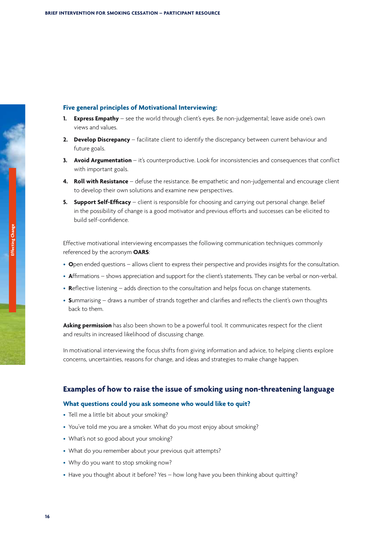### **Five general principles of Motivational Interviewing:**

- **1. Express Empathy**  see the world through client's eyes. Be non-judgemental; leave aside one's own views and values.
- **2. Develop Discrepancy**  facilitate client to identify the discrepancy between current behaviour and future goals.
- **3. Avoid Argumentation**  it's counterproductive. Look for inconsistencies and consequences that conflict with important goals.
- **4. Roll with Resistance**  defuse the resistance. Be empathetic and non-judgemental and encourage client to develop their own solutions and examine new perspectives.
- **5. Support Self-Efficacy** client is responsible for choosing and carrying out personal change. Belief in the possibility of change is a good motivator and previous efforts and successes can be elicited to build self-confidence.

Effective motivational interviewing encompasses the following communication techniques commonly referenced by the acronym **OARS**:

- **O**pen ended questions allows client to express their perspective and provides insights for the consultation.
- **A**ffirmations shows appreciation and support for the client's statements. They can be verbal or non-verbal.
- **R**eflective listening adds direction to the consultation and helps focus on change statements.
- **S**ummarising draws a number of strands together and clarifies and reflects the client's own thoughts back to them.

**Asking permission** has also been shown to be a powerful tool. It communicates respect for the client and results in increased likelihood of discussing change.

In motivational interviewing the focus shifts from giving information and advice, to helping clients explore concerns, uncertainties, reasons for change, and ideas and strategies to make change happen.

### **Examples of how to raise the issue of smoking using non-threatening language**

#### **What questions could you ask someone who would like to quit?**

- Tell me a little bit about your smoking?
- You've told me you are a smoker. What do you most enjoy about smoking?
- What's not so good about your smoking?
- What do you remember about your previous quit attempts?
- Why do you want to stop smoking now?
- Have you thought about it before? Yes how long have you been thinking about quitting?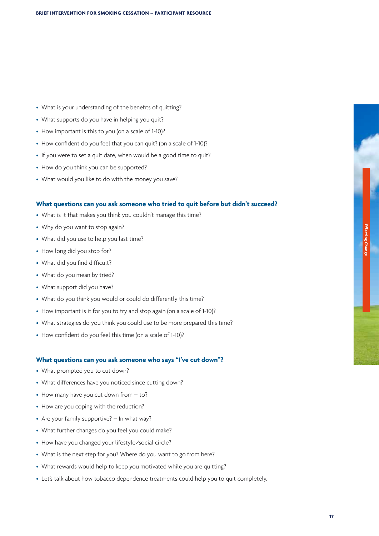- What is your understanding of the benefits of quitting?
- What supports do you have in helping you quit?
- How important is this to you (on a scale of 1-10)?
- How confident do you feel that you can quit? (on a scale of 1-10)?
- If you were to set a quit date, when would be a good time to quit?
- How do you think you can be supported?
- What would you like to do with the money you save?

### **What questions can you ask someone who tried to quit before but didn't succeed?**

- What is it that makes you think you couldn't manage this time?
- Why do you want to stop again?
- What did you use to help you last time?
- How long did you stop for?
- What did you find difficult?
- What do you mean by tried?
- What support did you have?
- What do you think you would or could do differently this time?
- How important is it for you to try and stop again (on a scale of 1-10)?
- What strategies do you think you could use to be more prepared this time?
- How confident do you feel this time (on a scale of 1-10)?

#### **What questions can you ask someone who says "I've cut down"?**

- What prompted you to cut down?
- What differences have you noticed since cutting down?
- How many have you cut down from to?
- How are you coping with the reduction?
- Are your family supportive? In what way?
- What further changes do you feel you could make?
- How have you changed your lifestyle/social circle?
- What is the next step for you? Where do you want to go from here?
- What rewards would help to keep you motivated while you are quitting?
- Let's talk about how tobacco dependence treatments could help you to quit completely.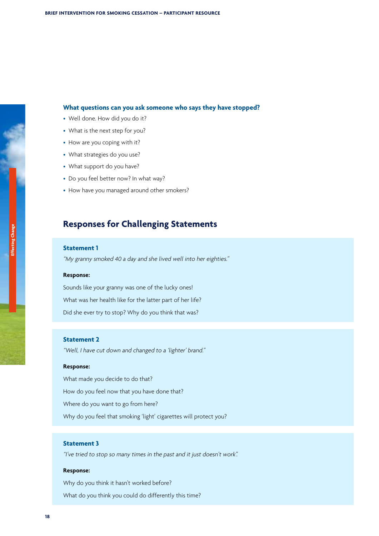### <span id="page-19-0"></span>**What questions can you ask someone who says they have stopped?**

- Well done. How did you do it?
- What is the next step for you?
- How are you coping with it?
- What strategies do you use?
- What support do you have?
- Do you feel better now? In what way?
- How have you managed around other smokers?

### **Responses for Challenging Statements**

### **Statement 1**

"My granny smoked <sup>40</sup> <sup>a</sup> day and she lived well into her eighties."

#### **Response:**

Sounds like your granny was one of the lucky ones! What was her health like for the latter part of her life? Did she ever try to stop? Why do you think that was?

### **Statement 2**

"Well, <sup>I</sup> have cut down and changed to <sup>a</sup> 'lighter' brand."

### **Response:**

What made you decide to do that? How do you feel now that you have done that? Where do you want to go from here? Why do you feel that smoking 'light' cigarettes will protect you?

### **Statement 3**

"I've tried to stop so many times in the past and it just doesn't work".

#### **Response:**

Why do you think it hasn't worked before? What do you think you could do differently this time?

**18**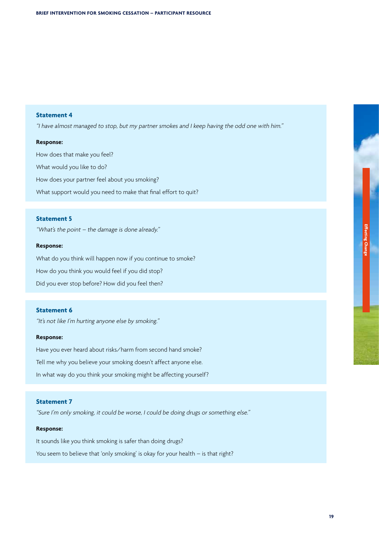### **Statement 4**

"I have almost managed to stop, but my partner smokes and <sup>I</sup> keep having the odd one with him."

### **Response:**

How does that make you feel? What would you like to do? How does your partner feel about you smoking? What support would you need to make that final effort to quit?

### **Statement 5**

"What's the point – the damage is done already."

#### **Response:**

What do you think will happen now if you continue to smoke? How do you think you would feel if you did stop? Did you ever stop before? How did you feel then?

### **Statement 6**

"It's not like <sup>I</sup>'m hurting anyone else by smoking."

### **Response:**

Have you ever heard about risks/harm from second hand smoke? Tell me why you believe your smoking doesn't affect anyone else. In what way do you think your smoking might be affecting yourself?

### **Statement 7**

"Sure <sup>I</sup>'m only smoking, it could be worse, <sup>I</sup> could be doing drugs or something else."

### **Response:**

It sounds like you think smoking is safer than doing drugs? You seem to believe that 'only smoking' is okay for your health – is that right?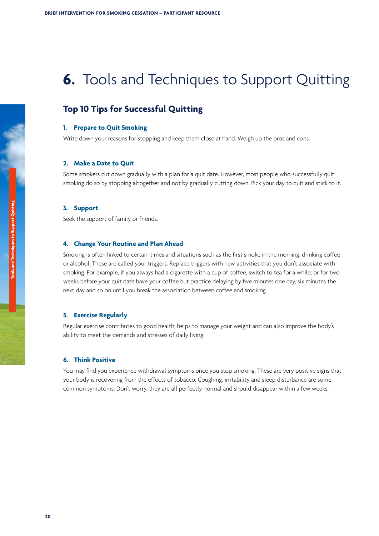# <span id="page-21-0"></span>**6.** Tools and Techniques to Support Quitting

### **Top 10 Tips for Successful Quitting**

### **1. Prepare to Quit Smoking**

Write down your reasons for stopping and keep them close at hand. Weigh up the pros and cons.

### **2. Make a Date to Quit**

Some smokers cut down gradually with a plan for a quit date. However, most people who successfully quit smoking do so by stopping altogether and not by gradually cutting down. Pick your day to quit and stick to it.

#### **3. Support**

Seek the support of family or friends.

#### **4. Change Your Routine and Plan Ahead**

Smoking is often linked to certain times and situations such as the first smoke in the morning, drinking coffee or alcohol. These are called your triggers. Replace triggers with new activities that you don't associate with smoking. For example, if you always had a cigarette with a cup of coffee, switch to tea for a while; or for two weeks before your quit date have your coffee but practice delaying by five minutes one day, six minutes the next day and so on until you break the association between coffee and smoking.

#### **5. Exercise Regularly**

Regular exercise contributes to good health; helps to manage your weight and can also improve the body's ability to meet the demands and stresses of daily living.

### **6. Think Positive**

You may find you experience withdrawal symptoms once you stop smoking. These are very positive signs that your body is recovering from the effects of tobacco. Coughing, irritability and sleep disturbance are some common symptoms. Don't worry, they are all perfectly normal and should disappear within a few weeks.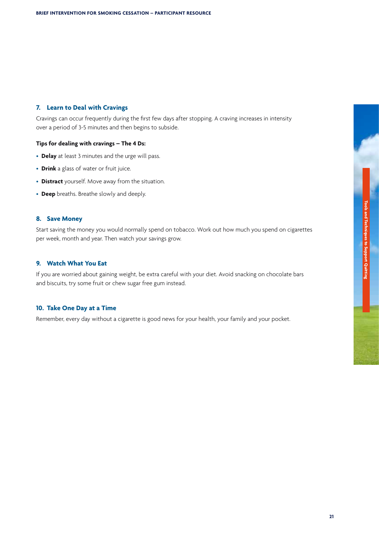### **7. Learn to Deal with Cravings**

Cravings can occur frequently during the first few days after stopping. A craving increases in intensity over a period of 3-5 minutes and then begins to subside.

### **Tips for dealing with cravings – The 4 Ds:**

- **Delay** at least 3 minutes and the urge will pass.
- **Drink** a glass of water or fruit juice.
- **Distract** yourself. Move away from the situation.
- **Deep** breaths. Breathe slowly and deeply.

### **8. Save Money**

Start saving the money you would normally spend on tobacco. Work out how much you spend on cigarettes per week, month and year. Then watch your savings grow.

### **9. Watch What You Eat**

If you are worried about gaining weight, be extra careful with your diet. Avoid snacking on chocolate bars and biscuits, try some fruit or chew sugar free gum instead.

### **10. Take One Day at a Time**

Remember, every day without a cigarette is good news for your health, your family and your pocket.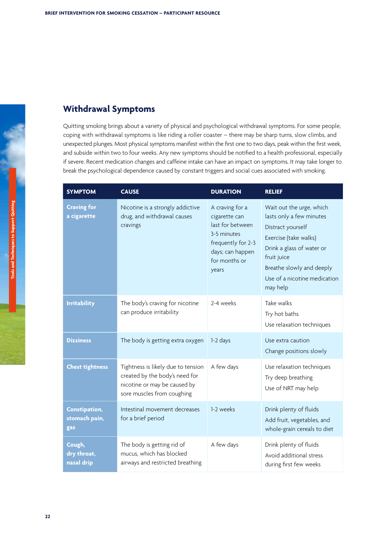### <span id="page-23-0"></span>**Withdrawal Symptoms**

Quitting smoking brings about a variety of physical and psychological withdrawal symptoms. For some people, coping with withdrawal symptoms is like riding a roller coaster – there may be sharp turns, slow climbs, and unexpected plunges. Most physical symptoms manifest within the first one to two days, peak within the first week, and subside within two to four weeks. Any new symptoms should be notified to a health professional, especially if severe. Recent medication changes and caffeine intake can have an impact on symptoms. It may take longer to break the psychological dependence caused by constant triggers and social cues associated with smoking.

| <b>SYMPTOM</b>                               | <b>CAUSE</b>                                                                                                                       | <b>DURATION</b>                                                                                                                         | <b>RELIEF</b>                                                                                                                                                                                                           |
|----------------------------------------------|------------------------------------------------------------------------------------------------------------------------------------|-----------------------------------------------------------------------------------------------------------------------------------------|-------------------------------------------------------------------------------------------------------------------------------------------------------------------------------------------------------------------------|
| <b>Craving for</b><br>a cigarette            | Nicotine is a strongly addictive<br>drug, and withdrawal causes<br>cravings                                                        | A craving for a<br>cigarette can<br>last for between<br>3-5 minutes<br>frequently for 2-3<br>days; can happen<br>for months or<br>years | Wait out the urge, which<br>lasts only a few minutes<br>Distract yourself<br>Exercise (take walks)<br>Drink a glass of water or<br>fruit juice<br>Breathe slowly and deeply<br>Use of a nicotine medication<br>may help |
| <b>Irritability</b>                          | The body's craving for nicotine<br>can produce irritability                                                                        | 2-4 weeks                                                                                                                               | Take walks<br>Try hot baths<br>Use relaxation techniques                                                                                                                                                                |
| <b>Dizziness</b>                             | The body is getting extra oxygen                                                                                                   | 1-2 days                                                                                                                                | Use extra caution<br>Change positions slowly                                                                                                                                                                            |
| <b>Chest tightness</b>                       | Tightness is likely due to tension<br>created by the body's need for<br>nicotine or may be caused by<br>sore muscles from coughing | A few days                                                                                                                              | Use relaxation techniques<br>Try deep breathing<br>Use of NRT may help                                                                                                                                                  |
| <b>Constipation,</b><br>stomach pain,<br>gas | Intestinal movement decreases<br>for a brief period                                                                                | 1-2 weeks                                                                                                                               | Drink plenty of fluids<br>Add fruit, vegetables, and<br>whole-grain cereals to diet                                                                                                                                     |
| Cough,<br>dry throat,<br>nasal drip          | The body is getting rid of<br>mucus, which has blocked<br>airways and restricted breathing                                         | A few days                                                                                                                              | Drink plenty of fluids<br>Avoid additional stress<br>during first few weeks                                                                                                                                             |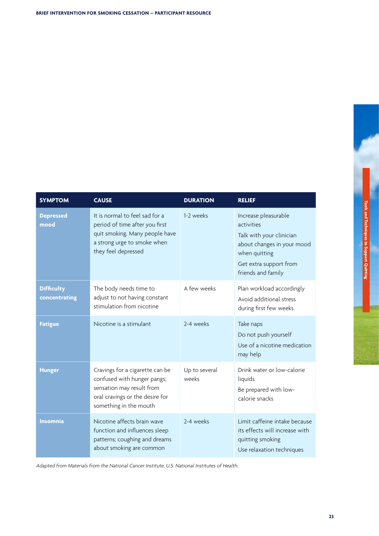| <b>SYMPTOM</b>                     | <b>CAUSE</b>                                                                                                                                             | <b>DURATION</b>        | <b>RELIEF</b>                                                                                                                                                 |
|------------------------------------|----------------------------------------------------------------------------------------------------------------------------------------------------------|------------------------|---------------------------------------------------------------------------------------------------------------------------------------------------------------|
| <b>Depressed</b><br>mood           | It is normal to feel sad for a<br>period of time after you first<br>quit smoking. Many people have<br>a strong urge to smoke when<br>they feel depressed | 1-2 weeks              | Increase pleasurable<br>activities<br>Talk with your clinician<br>about changes in your mood<br>when quitting<br>Get extra support from<br>friends and family |
| <b>Difficulty</b><br>concentrating | The body needs time to<br>adjust to not having constant<br>stimulation from nicotine                                                                     | A few weeks            | Plan workload accordingly<br>Avoid additional stress<br>during first few weeks                                                                                |
| <b>Fatigue</b>                     | Nicotine is a stimulant                                                                                                                                  | 2-4 weeks              | Take naps<br>Do not push yourself<br>Use of a nicotine medication<br>may help                                                                                 |
| <b>Hunger</b>                      | Cravings for a cigarette can be<br>confused with hunger pangs;<br>sensation may result from<br>oral cravings or the desire for<br>something in the mouth | Up to several<br>weeks | Drink water or low-calorie<br>liquids<br>Be prepared with low-<br>calorie snacks                                                                              |
| <b>Insomnia</b>                    | Nicotine affects brain wave<br>function and influences sleep<br>patterns; coughing and dreams<br>about smoking are common                                | 2-4 weeks              | Limit caffeine intake because<br>its effects will increase with<br>quitting smoking<br>Use relaxation techniques                                              |

Adapted from Materials from the National Cancer Institute, U.S. National Institutes of Health.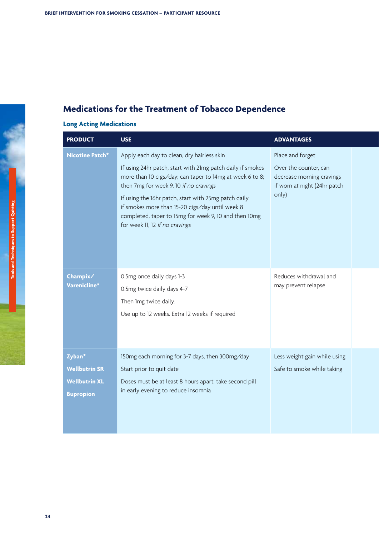## <span id="page-25-0"></span>**Medications for the Treatment of Tobacco Dependence**

## **Long Acting Medications**

| <b>PRODUCT</b>                                                             | <b>USE</b>                                                                                                                                                                                                                                                                                                                                                             | <b>ADVANTAGES</b>                                                                           |
|----------------------------------------------------------------------------|------------------------------------------------------------------------------------------------------------------------------------------------------------------------------------------------------------------------------------------------------------------------------------------------------------------------------------------------------------------------|---------------------------------------------------------------------------------------------|
| Nicotine Patch*                                                            | Apply each day to clean, dry hairless skin                                                                                                                                                                                                                                                                                                                             | Place and forget                                                                            |
|                                                                            | If using 24hr patch, start with 21mg patch daily if smokes<br>more than 10 cigs/day; can taper to 14mg at week 6 to 8;<br>then 7mg for week 9, 10 if no cravings<br>If using the 16hr patch, start with 25mg patch daily<br>if smokes more than 15-20 cigs/day until week 8<br>completed, taper to 15mg for week 9, 10 and then 10mg<br>for week 11, 12 if no cravings | Over the counter, can<br>decrease morning cravings<br>if worn at night (24hr patch<br>only) |
| Champix/<br>Varenicline*                                                   | 0.5mg once daily days 1-3<br>0.5mg twice daily days 4-7<br>Then Img twice daily.<br>Use up to 12 weeks. Extra 12 weeks if required                                                                                                                                                                                                                                     | Reduces withdrawal and<br>may prevent relapse                                               |
| Zyban*<br><b>Wellbutrin SR</b><br><b>Wellbutrin XL</b><br><b>Bupropion</b> | 150mg each morning for 3-7 days, then 300mg/day<br>Start prior to quit date<br>Doses must be at least 8 hours apart; take second pill<br>in early evening to reduce insomnia                                                                                                                                                                                           | Less weight gain while using<br>Safe to smoke while taking                                  |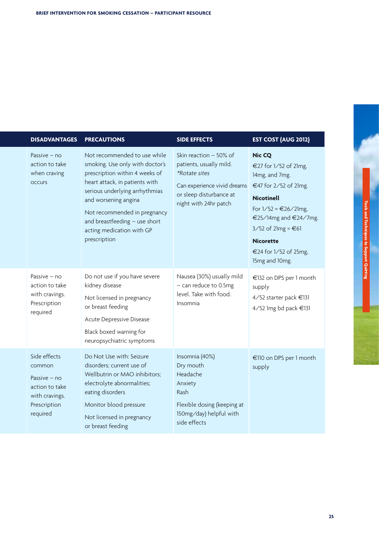| <b>DISADVANTAGES</b>                                                                                   | <b>PRECAUTIONS</b>                                                                                                                                                                                                                                                                                          | <b>SIDE EFFECTS</b>                                                                                                                                          | <b>EST COST (AUG 2012)</b>                                                                                                                                                                                                                         |
|--------------------------------------------------------------------------------------------------------|-------------------------------------------------------------------------------------------------------------------------------------------------------------------------------------------------------------------------------------------------------------------------------------------------------------|--------------------------------------------------------------------------------------------------------------------------------------------------------------|----------------------------------------------------------------------------------------------------------------------------------------------------------------------------------------------------------------------------------------------------|
| Passive – no<br>action to take<br>when craving<br><b>OCCUIS</b>                                        | Not recommended to use while<br>smoking. Use only with doctor's<br>prescription within 4 weeks of<br>heart attack, in patients with<br>serious underlying arrhythmias<br>and worsening angina<br>Not recommended in pregnancy<br>and breastfeeding - use short<br>acting medication with GP<br>prescription | Skin reaction - 50% of<br>patients, usually mild.<br><i>*Rotate sites</i><br>Can experience vivid dreams<br>or sleep disturbance at<br>night with 24hr patch | <b>Nic CQ</b><br>€27 for 1/52 of 21mg,<br>14mg, and 7mg.<br>€47 for 2/52 of 21mg.<br><b>Nicotinell</b><br>For $1/52 = €26/21mg$ ,<br>€25/14mg and €24/7mg.<br>$3/52$ of $21mg = 61$<br><b>Nicorette</b><br>€24 for 1/52 of 25mg,<br>15mg and 10mg. |
| Passive $-$ no<br>action to take<br>with cravings.<br>Prescription<br>required                         | Do not use if you have severe<br>kidney disease<br>Not licensed in pregnancy<br>or breast feeding<br>Acute Depressive Disease<br>Black boxed warning for<br>neuropsychiatric symptoms                                                                                                                       | Nausea (30%) usually mild<br>- can reduce to 0.5mg<br>level. Take with food.<br>Insomnia                                                                     | €132 on DPS per 1 month<br>supply<br>4/52 starter pack €131<br>4/52 1mg bd pack €131                                                                                                                                                               |
| Side effects<br>common<br>Passive – no<br>action to take<br>with cravings.<br>Prescription<br>required | Do Not Use with: Seizure<br>disorders; current use of<br>Wellbutrin or MAO inhibitors;<br>electrolyte abnormalities;<br>eating disorders<br>Monitor blood pressure<br>Not licensed in pregnancy<br>or breast feeding                                                                                        | Insomnia (40%)<br>Dry mouth<br>Headache<br>Anxiety<br>Rash<br>Flexible dosing (keeping at<br>150mg/day) helpful with<br>side effects                         | €110 on DPS per 1 month<br>supply                                                                                                                                                                                                                  |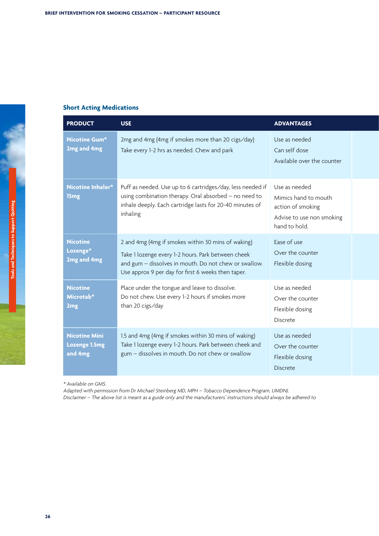### **Short Acting Medications**

| <b>PRODUCT</b>                                   | <b>USE</b>                                                                                                                                                                                                              | <b>ADVANTAGES</b>                                                                                        |  |
|--------------------------------------------------|-------------------------------------------------------------------------------------------------------------------------------------------------------------------------------------------------------------------------|----------------------------------------------------------------------------------------------------------|--|
| <b>Nicotine Gum*</b><br>2mg and 4mg              | 2mg and 4mg (4mg if smokes more than 20 cigs/day)<br>Take every 1-2 hrs as needed. Chew and park                                                                                                                        | Use as needed<br>Can self dose<br>Available over the counter                                             |  |
| Nicotine Inhaler*<br>15mg                        | Puff as needed. Use up to 6 cartridges/day, less needed if<br>using combination therapy. Oral absorbed - no need to<br>inhale deeply. Each cartridge lasts for 20-40 minutes of<br>inhaling                             | Use as needed<br>Mimics hand to mouth<br>action of smoking<br>Advise to use non smoking<br>hand to hold. |  |
| <b>Nicotine</b><br>Lozenge*<br>2mg and 4mg       | 2 and 4mg (4mg if smokes within 30 mins of waking)<br>Take 1 lozenge every 1-2 hours. Park between cheek<br>and gum - dissolves in mouth. Do not chew or swallow.<br>Use approx 9 per day for first 6 weeks then taper. | Ease of use<br>Over the counter<br>Flexible dosing                                                       |  |
| <b>Nicotine</b><br>Microtab*<br>2 <sub>mg</sub>  | Place under the tongue and leave to dissolve.<br>Do not chew. Use every 1-2 hours if smokes more<br>than 20 cigs/day                                                                                                    | Use as needed<br>Over the counter<br>Flexible dosing<br>Discrete                                         |  |
| <b>Nicotine Mini</b><br>Lozenge 1.5mg<br>and 4mg | 1.5 and 4mg (4mg if smokes within 30 mins of waking)<br>Take 1 lozenge every 1-2 hours. Park between cheek and<br>gum - dissolves in mouth. Do not chew or swallow                                                      | Use as needed<br>Over the counter<br>Flexible dosing<br><b>Discrete</b>                                  |  |

\* Available on GMS.

Adapted with permission from Dr Michael Steinberg MD, MPH – Tobacco Dependence Program, UMDNJ. Disclaimer – The above list is meant as <sup>a</sup> guide only and the manufacturers' instructions should always be adhered to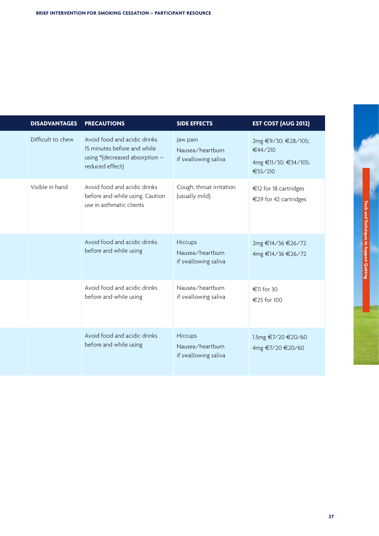|  | <b>DISADVANTAGES</b> | <b>PRECAUTIONS</b>                                                                                                 | <b>SIDE EFFECTS</b>                                  | <b>EST COST (AUG 2012)</b>                                        |
|--|----------------------|--------------------------------------------------------------------------------------------------------------------|------------------------------------------------------|-------------------------------------------------------------------|
|  | Difficult to chew    | Avoid food and acidic drinks<br>15 minutes before and while<br>using $*(decreased absorption -$<br>reduced effect) | Jaw pain<br>Nausea/heartburn<br>if swallowing saliva | 2mg €9/30; €28/105;<br>€44/210<br>4mg €11/30; €34/105;<br>€55/210 |
|  | Visible in hand      | Avoid food and acidic drinks<br>before and while using. Caution<br>use in asthmatic clients                        | Cough; throat irritation<br>(usually mild)           | €12 for 18 cartridges<br>€29 for 42 cartridges                    |
|  |                      | Avoid food and acidic drinks<br>before and while using                                                             | Hiccups<br>Nausea/heartburn<br>if swallowing saliva  | 2mg €14/36 €26/72<br>4mg €14/36 €26/72                            |
|  |                      | Avoid food and acidic drinks<br>before and while using                                                             | Nausea/heartburn<br>if swallowing saliva             | €11 for 30<br>€25 for 100                                         |
|  |                      | Avoid food and acidic drinks<br>before and while using                                                             | Hiccups<br>Nausea/heartburn<br>if swallowing saliva  | 1.5mg €7/20 €20/60<br>4mg €7/20 €20/60                            |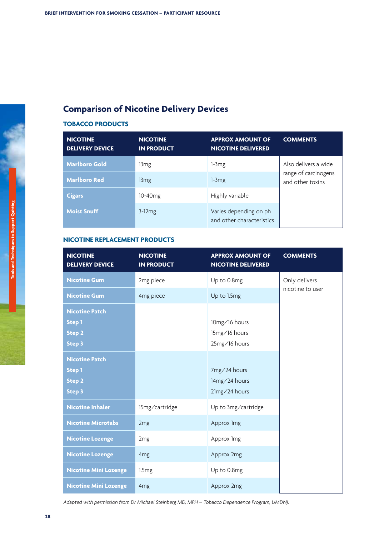## <span id="page-29-0"></span>**Comparison of Nicotine Delivery Devices**

### **TOBACCO PRODUCTS**

| <b>NICOTINE</b><br><b>DELIVERY DEVICE</b> | <b>NICOTINE</b><br><b>IN PRODUCT</b> | <b>APPROX AMOUNT OF</b><br><b>NICOTINE DELIVERED</b> | <b>COMMENTS</b>                          |
|-------------------------------------------|--------------------------------------|------------------------------------------------------|------------------------------------------|
| <b>Marlboro Gold</b>                      | 13 <sub>mg</sub>                     | $1-3mg$                                              | Also delivers a wide                     |
| <b>Marlboro Red</b>                       | 13 <sub>mg</sub>                     | $1-3mg$                                              | range of carcinogens<br>and other toxins |
| <b>Cigars</b>                             | $10-40$ mg                           | Highly variable                                      |                                          |
| <b>Moist Snuff</b>                        | $3-12mg$                             | Varies depending on ph<br>and other characteristics  |                                          |

### **NICOTINE REPLACEMENT PRODUCTS**

| <b>NICOTINE</b><br><b>DELIVERY DEVICE</b>                                | <b>NICOTINE</b><br><b>IN PRODUCT</b> | <b>APPROX AMOUNT OF</b><br><b>NICOTINE DELIVERED</b> | <b>COMMENTS</b>  |
|--------------------------------------------------------------------------|--------------------------------------|------------------------------------------------------|------------------|
| <b>Nicotine Gum</b>                                                      | 2mg piece                            | Up to 0.8mg                                          | Only delivers    |
| <b>Nicotine Gum</b>                                                      | 4mg piece                            | Up to 1.5mg                                          | nicotine to user |
| <b>Nicotine Patch</b><br><b>Step 1</b><br><b>Step 2</b><br><b>Step 3</b> |                                      | 10mg/16 hours<br>15mg/16 hours<br>25mg/16 hours      |                  |
| <b>Nicotine Patch</b><br><b>Step 1</b><br><b>Step 2</b><br><b>Step 3</b> |                                      | 7mg/24 hours<br>14mg/24 hours<br>21mg/24 hours       |                  |
| <b>Nicotine Inhaler</b>                                                  | 15mg/cartridge                       | Up to 3mg/cartridge                                  |                  |
| <b>Nicotine Microtabs</b>                                                | 2 <sub>mg</sub>                      | Approx 1mg                                           |                  |
| <b>Nicotine Lozenge</b>                                                  | 2 <sub>mg</sub>                      | Approx 1mg                                           |                  |
| <b>Nicotine Lozenge</b>                                                  | 4 <sub>mg</sub>                      | Approx 2mg                                           |                  |
| <b>Nicotine Mini Lozenge</b>                                             | 1.5mg                                | Up to 0.8mg                                          |                  |
| <b>Nicotine Mini Lozenge</b>                                             | 4 <sub>mg</sub>                      | Approx 2mg                                           |                  |

Adapted with permission from Dr Michael Steinberg MD, MPH – Tobacco Dependence Program, UMDNJ.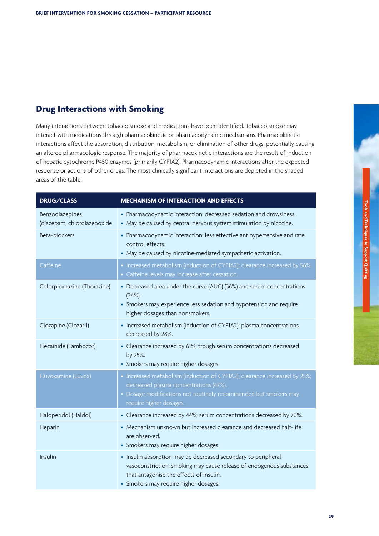### <span id="page-30-0"></span>**Drug Interactions with Smoking**

Many interactions between tobacco smoke and medications have been identified. Tobacco smoke may interact with medications through pharmacokinetic or pharmacodynamic mechanisms. Pharmacokinetic interactions affect the absorption, distribution, metabolism, or elimination of other drugs, potentially causing an altered pharmacologic response. The majority of pharmacokinetic interactions are the result of induction of hepatic cytochrome P450 enzymes (primarily CYP1A2). Pharmacodynamic interactions alter the expected response or actions of other drugs. The most clinically significant interactions are depicted in the shaded areas of the table.

| <b>DRUG/CLASS</b>                              | <b>MECHANISM OF INTERACTION AND EFFECTS</b>                                                                                                                                                                               |
|------------------------------------------------|---------------------------------------------------------------------------------------------------------------------------------------------------------------------------------------------------------------------------|
| Benzodiazepines<br>(diazepam, chlordiazepoxide | • Pharmacodynamic interaction: decreased sedation and drowsiness.<br>• May be caused by central nervous system stimulation by nicotine.                                                                                   |
| Beta-blockers                                  | • Pharmacodynamic interaction: less effective antihypertensive and rate<br>control effects.<br>• May be caused by nicotine-mediated sympathetic activation.                                                               |
| Caffeine                                       | • Increased metabolism (induction of CYPIA2); clearance increased by 56%.<br>• Caffeine levels may increase after cessation.                                                                                              |
| Chlorpromazine (Thorazine)                     | • Decreased area under the curve (AUC) (36%) and serum concentrations<br>$(24%)$ .<br>• Smokers may experience less sedation and hypotension and require<br>higher dosages than nonsmokers.                               |
| Clozapine (Clozaril)                           | • Increased metabolism (induction of CYPIA2); plasma concentrations<br>decreased by 28%.                                                                                                                                  |
| Flecainide (Tambocor)                          | • Clearance increased by 61%; trough serum concentrations decreased<br>by 25%.<br>• Smokers may require higher dosages.                                                                                                   |
| Fluvoxamine (Luvox)                            | • Increased metabolism (induction of CYPIA2); clearance increased by 25%;<br>decreased plasma concentrations (47%).<br>• Dosage modifications not routinely recommended but smokers may<br>require higher dosages.        |
| Haloperidol (Haldol)                           | • Clearance increased by 44%; serum concentrations decreased by 70%.                                                                                                                                                      |
| Heparin                                        | • Mechanism unknown but increased clearance and decreased half-life<br>are observed.<br>• Smokers may require higher dosages.                                                                                             |
| Insulin                                        | • Insulin absorption may be decreased secondary to peripheral<br>vasoconstriction; smoking may cause release of endogenous substances<br>that antagonise the effects of insulin.<br>• Smokers may require higher dosages. |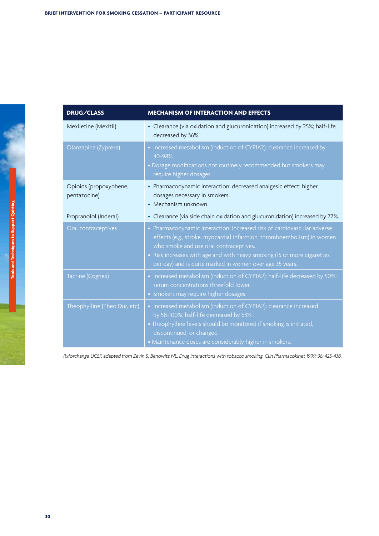| <b>DRUG/CLASS</b>                      | <b>MECHANISM OF INTERACTION AND EFFECTS</b>                                                                                                                                                                                                                                                                                         |
|----------------------------------------|-------------------------------------------------------------------------------------------------------------------------------------------------------------------------------------------------------------------------------------------------------------------------------------------------------------------------------------|
| Mexiletine (Mexitil)                   | • Clearance (via oxidation and glucuronidation) increased by 25%; half-life<br>decreased by 36%.                                                                                                                                                                                                                                    |
| Olanzapine (Zyprexa)                   | • Increased metabolism (induction of CYPIA2); clearance increased by<br>40-98%.<br>· Dosage modifications not routinely recommended but smokers may<br>require higher dosages.                                                                                                                                                      |
| Opioids (propoxyphene,<br>pentazocine) | • Pharmacodynamic interaction: decreased analgesic effect; higher<br>dosages necessary in smokers.<br>• Mechanism unknown.                                                                                                                                                                                                          |
| Propranolol (Inderal)                  | • Clearance (via side chain oxidation and glucuronidation) increased by 77%.                                                                                                                                                                                                                                                        |
| Oral contraceptives                    | • Pharmacodynamic interaction: increased risk of cardiovascular adverse<br>effects (e.g., stroke, myocardial infarction, thromboembolism) in women<br>who smoke and use oral contraceptives.<br>• Risk increases with age and with heavy smoking (15 or more cigarettes<br>per day) and is quite marked in women over age 35 years. |
| Tacrine (Cognex)                       | • Increased metabolism (induction of CYPIA2); half-life decreased by 50%;<br>serum concentrations threefold lower.<br>• Smokers may require higher dosages.                                                                                                                                                                         |
| Theophylline (Theo Dur, etc)           | • Increased metabolism (induction of CYPIA2); clearance increased<br>by 58-100%; half-life decreased by 63%.<br>• Theophylline levels should be monitored if smoking is initiated,<br>discontinued, or changed.<br>• Maintenance doses are considerably higher in smokers.                                                          |

Rxforchange UCSF, adapted from Zevin S, Benowitz NL. Drug interactions with tobacco smoking. Clin Pharmacokinet 1999; 36: 425-438.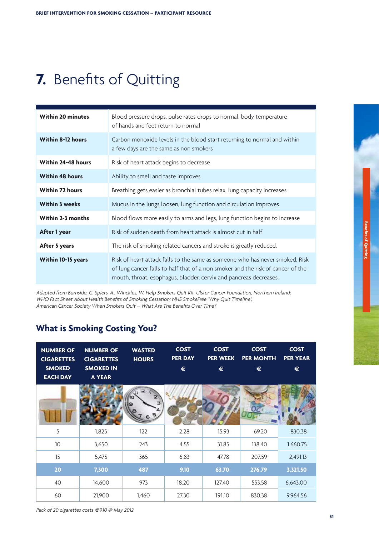# <span id="page-32-0"></span>**7.** Benefits of Quitting

| <b>Within 20 minutes</b>  | Blood pressure drops, pulse rates drops to normal, body temperature<br>of hands and feet return to normal                                                                                                                            |
|---------------------------|--------------------------------------------------------------------------------------------------------------------------------------------------------------------------------------------------------------------------------------|
| <b>Within 8-12 hours</b>  | Carbon monoxide levels in the blood start returning to normal and within<br>a few days are the same as non smokers                                                                                                                   |
| <b>Within 24-48 hours</b> | Risk of heart attack begins to decrease                                                                                                                                                                                              |
| Within 48 hours           | Ability to smell and taste improves                                                                                                                                                                                                  |
| <b>Within 72 hours</b>    | Breathing gets easier as bronchial tubes relax, lung capacity increases                                                                                                                                                              |
| <b>Within 3 weeks</b>     | Mucus in the lungs loosen, lung function and circulation improves                                                                                                                                                                    |
| Within 2-3 months         | Blood flows more easily to arms and legs, lung function begins to increase                                                                                                                                                           |
| After 1 year              | Risk of sudden death from heart attack is almost cut in half                                                                                                                                                                         |
| After 5 years             | The risk of smoking related cancers and stroke is greatly reduced.                                                                                                                                                                   |
| Within 10-15 years        | Risk of heart attack falls to the same as someone who has never smoked. Risk<br>of lung cancer falls to half that of a non smoker and the risk of cancer of the<br>mouth, throat, esophagus, bladder, cervix and pancreas decreases. |

Adapted from Burnside, G. Spiers, A., Winckles, W. Help Smokers Quit Kit. Ulster Cancer Foundation, Northern Ireland; WHO Fact Sheet About Health Benefits of Smoking Cessation; NHS SmokeFree 'Why Quit Timeline'; American Cancer Society When Smokers Quit – What Are The Benefits Over Time?

## **What is Smoking Costing You?**

| <b>NUMBER OF</b><br><b>CIGARETTES</b><br><b>SMOKED</b> | <b>NUMBER OF</b><br><b>CIGARETTES</b><br><b>SMOKED IN</b> | <b>WASTED</b><br><b>HOURS</b> | <b>COST</b><br>PER DAY<br>€ | <b>COST</b><br><b>PER WEEK</b><br>€ | <b>COST</b><br><b>PER MONTH</b><br>€ | <b>COST</b><br><b>PER YEAR</b><br>€ |
|--------------------------------------------------------|-----------------------------------------------------------|-------------------------------|-----------------------------|-------------------------------------|--------------------------------------|-------------------------------------|
| <b>EACH DAY</b>                                        | <b>A YEAR</b>                                             |                               |                             |                                     |                                      |                                     |
|                                                        |                                                           |                               |                             |                                     |                                      |                                     |
| 5                                                      | 1,825                                                     | 122                           | 2.28                        | 15.93                               | 69.20                                | 830.38                              |
| 10 <sup>°</sup>                                        | 3,650                                                     | 243                           | 4.55                        | 31.85                               | 138.40                               | 1,660.75                            |
| 15                                                     | 5,475                                                     | 365                           | 6.83                        | 47.78                               | 207.59                               | 2,491.13                            |
| 20                                                     | 7,300                                                     | 487                           | 9.10                        | 63.70                               | 276.79                               | 3,321.50                            |
| 40                                                     | 14,600                                                    | 973                           | 18.20                       | 127.40                              | 553.58                               | 6,643.00                            |
| 60                                                     | 21,900                                                    | 1,460                         | 27.30                       | 191.10                              | 830.38                               | 9,964.56                            |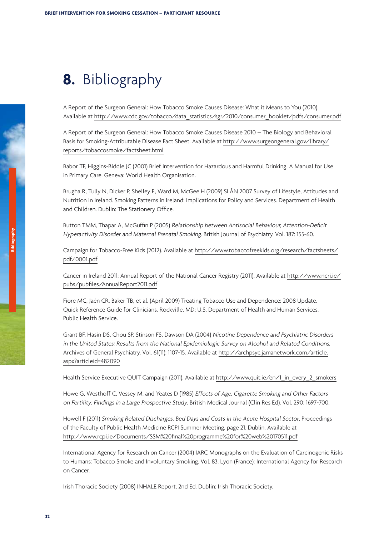# <span id="page-33-0"></span>**8.** Bibliography

A Report of the Surgeon General: How Tobacco Smoke Causes Disease: What it Means to You (2010). Available at [http://www.cdc.gov/tobacco/data\\_statistics/sgr/2010/consumer\\_booklet/pdfs/consumer.pdf](http://www.cdc.gov/tobacco/data_statistics/sgr/2010/consumer_booklet/pdfs/consumer.pdf)

A Report of the Surgeon General: How Tobacco Smoke Causes Disease 2010 – The Biology and Behavioral Basis for Smoking-Attributable Disease Fact Sheet. Available at [http://www.surgeongeneral.gov/library/](http://www.surgeongeneral.gov/library/reports/tobaccosmoke/factsheet.html) [reports/tobaccosmoke/factsheet.html](http://www.surgeongeneral.gov/library/reports/tobaccosmoke/factsheet.html)

Babor TF, Higgins-Biddle JC (2001) Brief Intervention for Hazardous and Harmful Drinking, A Manual for Use in Primary Care. Geneva: World Health Organisation.

Brugha R, Tully N, Dicker P, Shelley E, Ward M, McGee H (2009) SLÁN 2007 Survey of Lifestyle, Attitudes and Nutrition in Ireland. Smoking Patterns in Ireland: Implications for Policy and Services. Department of Health and Children. Dublin: The Stationery Office.

Button TMM, Thapar A, McGuffin P (2005) Relationship between Antisocial Behaviour, Attention-Deficit Hyperactivity Disorder and Maternal Prenatal Smoking. British Journal of Psychiatry. Vol. 187: 155-60.

Campaign for Tobacco-Free Kids (2012). Available at [http://www.tobaccofreekids.org/research/factsheets/](http://www.tobaccofreekids.org/research/factsheets/pdf/0001.pdf) [pdf/0001.pdf](http://www.tobaccofreekids.org/research/factsheets/pdf/0001.pdf)

Cancer in Ireland 2011: Annual Report of the National Cancer Registry (2011). Available at [http://www.ncri.ie/](http://www.ncri.ie/pubs/pubfiles/AnnualReport2011.pdf) [pubs/pubfiles/AnnualReport2011.pdf](http://www.ncri.ie/pubs/pubfiles/AnnualReport2011.pdf)

Fiore MC, Jaén CR, Baker TB, et al. (April 2009) Treating Tobacco Use and Dependence: 2008 Update. Quick Reference Guide for Clinicians. Rockville, MD: U.S. Department of Health and Human Services. Public Health Service.

Grant BF, Hasin DS, Chou SP, Stinson FS, Dawson DA (2004) Nicotine Dependence and Psychiatric Disorders in the United States: Results from the National Epidemiologic Survey on Alcohol and Related Conditions. Archives of General Psychiatry. Vol. 61(11): 1107-15. Available at [http://archpsyc.jamanetwork.com/article.](http://archpsyc.jamanetwork.com/article.aspx?articleid=482090) [aspx?articleid=482090](http://archpsyc.jamanetwork.com/article.aspx?articleid=482090)

Health Service Executive QUIT Campaign (2011). Available at [http://www.quit.ie/en/1\\_in\\_every\\_2\\_smokers](http://www.quit.ie/en/1_in_every_2_smokers)

Howe G, Westhoff C, Vessey M, and Yeates D (1985) Effects of Age, Cigarette Smoking and Other Factors on Fertility: Findings in <sup>a</sup> Large Prospective Study. British Medical Journal (Clin Res Ed). Vol. 290: 1697-700.

Howell F (2011) Smoking Related Discharges, Bed Days and Costs in the Acute Hospital Sector, Proceedings of the Faculty of Public Health Medicine RCPI Summer Meeting, page 21. Dublin. Available at <http://www.rcpi.ie/Documents/SSM%20final%20programme%20for%20web%20170511.pdf>

International Agency for Research on Cancer (2004) IARC Monographs on the Evaluation of Carcinogenic Risks to Humans: Tobacco Smoke and Involuntary Smoking. Vol. 83. Lyon (France): International Agency for Research on Cancer.

Irish Thoracic Society (2008) INHALE Report, 2nd Ed. Dublin: Irish Thoracic Society.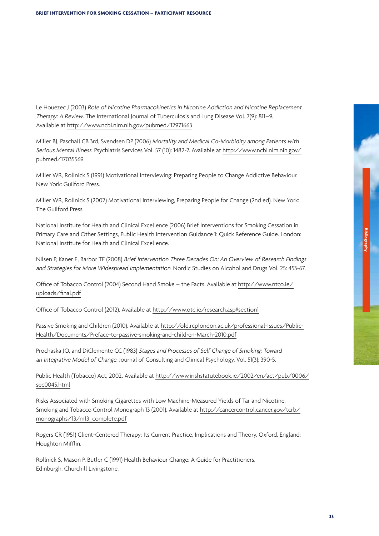Le Houezec J (2003) Role of Nicotine Pharmacokinetics in Nicotine Addiction and Nicotine Replacement Therapy: <sup>A</sup> Review. The International Journal of Tuberculosis and Lung Disease Vol. 7(9): 811–9. Available at <http://www.ncbi.nlm.nih.gov/pubmed/12971663>

Miller BJ, Paschall CB 3rd, Svendsen DP (2006) Mortality and Medical Co-Morbidity among Patients with Serious Mental Illness. Psychiatris Services Vol. 57 (10): 1482-7. Available at [http://www.ncbi.nlm.nih.gov/](http://www.ncbi.nlm.nih.gov/pubmed/17035569) [pubmed/17035569](http://www.ncbi.nlm.nih.gov/pubmed/17035569)

Miller WR, Rollnick S (1991) Motivational Interviewing: Preparing People to Change Addictive Behaviour. New York: Guilford Press.

Miller WR, Rollnick S (2002) Motivational Interviewing, Preparing People for Change (2nd ed). New York: The Guilford Press.

National Institute for Health and Clinical Excellence (2006) Brief Interventions for Smoking Cessation in Primary Care and Other Settings, Public Health Intervention Guidance 1: Quick Reference Guide. London: National Institute for Health and Clinical Excellence.

Nilsen P, Kaner E, Barbor TF (2008) Brief Intervention Three Decades On: An Overview of Research Findings and Strategies for More Widespread Implementation. Nordic Studies on Alcohol and Drugs Vol. 25: 453-67.

Office of Tobacco Control (2004) Second Hand Smoke – the Facts. Available at [http://www.ntco.ie/](http://www.ntco.ie/uploads/final.pdf) [uploads/final.pdf](http://www.ntco.ie/uploads/final.pdf)

Office of Tobacco Control (2012). Available at <http://www.otc.ie/research.asp#section1>

Passive Smoking and Children (2010). Available at [http://old.rcplondon.ac.uk/professional-Issues/Public-](http://old.rcplondon.ac.uk/professional-Issues/Public-Health/Documents/Preface-to-passive-smoking-and-children-March-2010.pdf)[Health/Documents/Preface-to-passive-smoking-and-children-March-2010.pdf](http://old.rcplondon.ac.uk/professional-Issues/Public-Health/Documents/Preface-to-passive-smoking-and-children-March-2010.pdf)

Prochaska JO, and DiClemente CC (1983) Stages and Processes of Self Change of Smoking: Toward an Integrative Model of Change. Journal of Consulting and Clinical Psychology. Vol. 51(3): 390-5.

Public Health (Tobacco) Act, 2002. Available at [http://www.irishstatutebook.ie/2002/en/act/pub/0006/](http://www.irishstatutebook.ie/2002/en/act/pub/0006/sec0045.html) [sec0045.html](http://www.irishstatutebook.ie/2002/en/act/pub/0006/sec0045.html)

Risks Associated with Smoking Cigarettes with Low Machine-Measured Yields of Tar and Nicotine. Smoking and Tobacco Control Monograph 13 (2001). Available at [http://cancercontrol.cancer.gov/tcrb/](http://cancercontrol.cancer.gov/tcrb/monographs/13/m13_complete.pdf) [monographs/13/m13\\_complete.pdf](http://cancercontrol.cancer.gov/tcrb/monographs/13/m13_complete.pdf)

Rogers CR (1951) Client-Centered Therapy: Its Current Practice, Implications and Theory. Oxford, England: Houghton Mifflin.

Rollnick S, Mason P, Butler C (1991) Health Behaviour Change: A Guide for Practitioners. Edinburgh: Churchill Livingstone.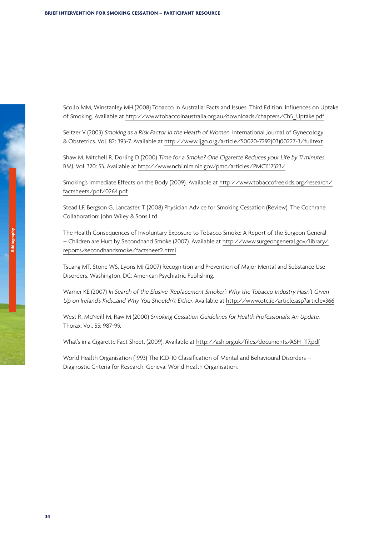Scollo MM, Winstanley MH (2008) Tobacco in Australia: Facts and Issues. Third Edition. Influences on Uptake of Smoking. Available at [http://www.tobaccoinaustralia.org.au/downloads/chapters/Ch5\\_Uptake.pdf](http://www.tobaccoinaustralia.org.au/downloads/chapters/Ch5_Uptake.pdf)

Seltzer V (2003) Smoking as a Risk Factor in the Health of Women. International Journal of Gynecology & Obstetrics. Vol. 82: 393-7. Available at [http://www.ijgo.org/article/S0020-7292\(03\)00227-3/fulltext](http://www.ijgo.org/article/S0020-7292(03)00227-3/fulltext)

Shaw M, Mitchell R, Dorling D (2000) Time for <sup>a</sup> Smoke? One Cigarette Reduces your Life by <sup>11</sup> minutes. BMJ. Vol. 320: 53. Available at <http://www.ncbi.nlm.nih.gov/pmc/articles/PMC1117323/>

Smoking's Immediate Effects on the Body (2009). Available at [http://www.tobaccofreekids.org/research/](http://www.tobaccofreekids.org/research/factsheets/pdf/0264.pdf) [factsheets/pdf/0264.pdf](http://www.tobaccofreekids.org/research/factsheets/pdf/0264.pdf)

Stead LF, Bergson G, Lancaster, T (2008) Physician Advice for Smoking Cessation (Review). The Cochrane Collaboration: John Wiley & Sons Ltd.

The Health Consequences of Involuntary Exposure to Tobacco Smoke: A Report of the Surgeon General – Children are Hurt by Secondhand Smoke (2007). Available at [http://www.surgeongeneral.gov/library/](http://www.surgeongeneral.gov/library/reports/secondhandsmoke/factsheet2.html) [reports/secondhandsmoke/factsheet2.html](http://www.surgeongeneral.gov/library/reports/secondhandsmoke/factsheet2.html)

Tsuang MT, Stone WS, Lyons MJ (2007) Recognition and Prevention of Major Mental and Substance Use Disorders. Washington, DC: American Psychiatric Publishing.

Warner KE (2007) In Search of the Elusive 'Replacement Smoker': Why the Tobacco Industry Hasn't Given Up on Ireland's Kids…and Why You Shouldn't Either. Available at <http://www.otc.ie/article.asp?article=366>

West R, McNeill M, Raw M (2000) Smoking Cessation Guidelines for Health Professionals; An Update. Thorax. Vol. 55: 987-99.

What's in a Cigarette Fact Sheet, (2009). Available at [http://ash.org.uk/files/documents/ASH\\_117.pdf](http://ash.org.uk/files/documents/ASH_117.pdf)

World Health Organisation (1993) The ICD-10 Classification of Mental and Behavioural Disorders – Diagnostic Criteria for Research. Geneva: World Health Organisation.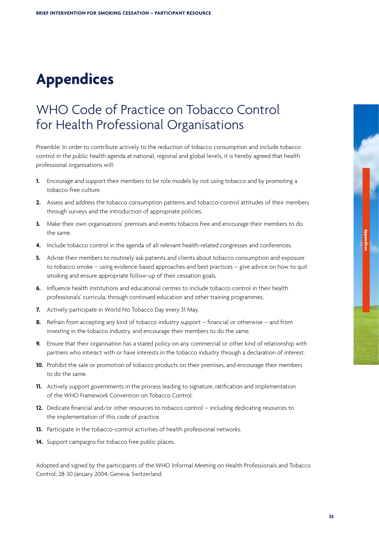# <span id="page-36-0"></span>**Appendices**

## WHO Code of Practice on Tobacco Control for Health Professional Organisations

Preamble: In order to contribute actively to the reduction of tobacco consumption and include tobacco control in the public health agenda at national, regional and global levels, it is hereby agreed that health professional organisations will:

- **1.** Encourage and support their members to be role models by not using tobacco and by promoting a tobacco-free culture.
- **2.** Assess and address the tobacco consumption patterns and tobacco-control attitudes of their members through surveys and the introduction of appropriate policies.
- **3.** Make their own organisations' premises and events tobacco free and encourage their members to do the same.
- **4.** Include tobacco control in the agenda of all relevant health-related congresses and conferences.
- **5.** Advise their members to routinely ask patients and clients about tobacco consumption and exposure to tobacco smoke – using evidence-based approaches and best practices – give advice on how to quit smoking and ensure appropriate follow-up of their cessation goals.
- **6.** Influence health institutions and educational centres to include tobacco control in their health professionals' curricula, through continued education and other training programmes.
- **7.** Actively participate in World No Tobacco Day every 31 May.
- **8.** Refrain from accepting any kind of tobacco industry support financial or otherwise and from investing in the tobacco industry, and encourage their members to do the same.
- **9.** Ensure that their organisation has a stated policy on any commercial or other kind of relationship with partners who interact with or have interests in the tobacco industry through a declaration of interest.
- **10.** Prohibit the sale or promotion of tobacco products on their premises, and encourage their members to do the same.
- **11.** Actively support governments in the process leading to signature, ratification and implementation of the WHO Framework Convention on Tobacco Control.
- **12.** Dedicate financial and/or other resources to tobacco control including dedicating resources to the implementation of this code of practice.
- **13.** Participate in the tobacco-control activities of health professional networks.
- 14. Support campaigns for tobacco free public places.

Adopted and signed by the participants of the WHO Informal Meeting on Health Professionals and Tobacco Control; 28-30 January 2004; Geneva, Switzerland.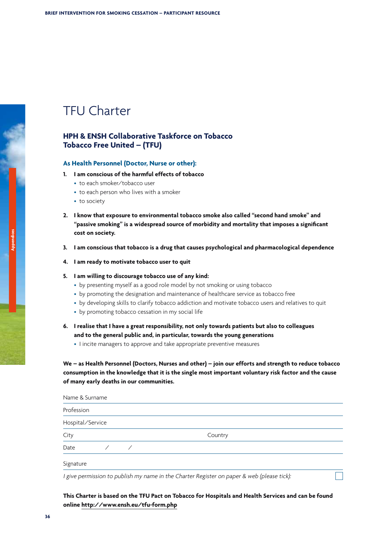## <span id="page-37-0"></span>TFU Charter

### **HPH & ENSH Collaborative Taskforce on Tobacco Tobacco Free United – (TFU)**

### **As Health Personnel (Doctor, Nurse or other):**

- **1. I am conscious of the harmful effects of tobacco**
	- to each smoker/tobacco user
	- to each person who lives with a smoker
	- to society
- **2. I know that exposure to environmental tobacco smoke also called "second hand smoke" and "passive smoking" is a widespread source of morbidity and mortality that imposes a significant cost on society.**
- **3. I am conscious that tobacco is a drug that causes psychological and pharmacological dependence**
- **4. I am ready to motivate tobacco user to quit**

### **5. I am willing to discourage tobacco use of any kind:**

- by presenting myself as a good role model by not smoking or using tobacco
- by promoting the designation and maintenance of healthcare service as tobacco free
- by developing skills to clarify tobacco addiction and motivate tobacco users and relatives to quit
- by promoting tobacco cessation in my social life
- **6. I realise that I have a great responsibility, not only towards patients but also to colleagues and to the general public and, in particular, towards the young generations**
	- I incite managers to approve and take appropriate preventive measures

**We – as Health Personnel (Doctors, Nurses and other) – join our efforts and strength to reduce tobacco consumption in the knowledge that it is the single most important voluntary risk factor and the cause of many early deaths in our communities.**

| Name & Surname   |  |         |  |
|------------------|--|---------|--|
| Profession       |  |         |  |
| Hospital/Service |  |         |  |
| City             |  | Country |  |
| Date             |  |         |  |
| Signature        |  |         |  |

<sup>I</sup> give permission to publish my name in the Charter Register on paper & web (please tick):

### **This Charter is based on the TFU Pact on Tobacco for Hospitals and Health Services and can be found online <http://www.ensh.eu/tfu-form.php>**

**Appendices**

**36**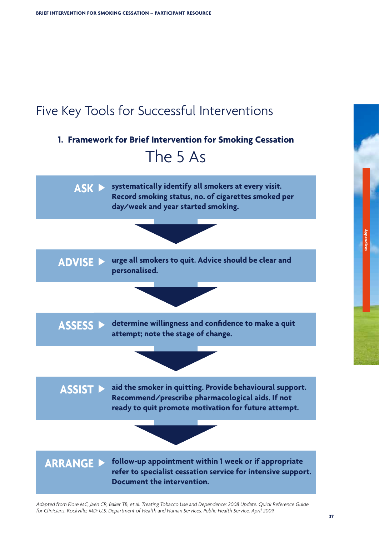<span id="page-38-0"></span>

# **1. Framework for Brief Intervention for Smoking Cessation**  The 5 As



Adapted from Fiore MC, Jaén CR, Baker TB, et al. Treating Tobacco Use and Dependence: <sup>2008</sup> Update. Quick Reference Guide for Clinicians. Rockville, MD: U.S. Department of Health and Human Services. Public Health Service. April 2009.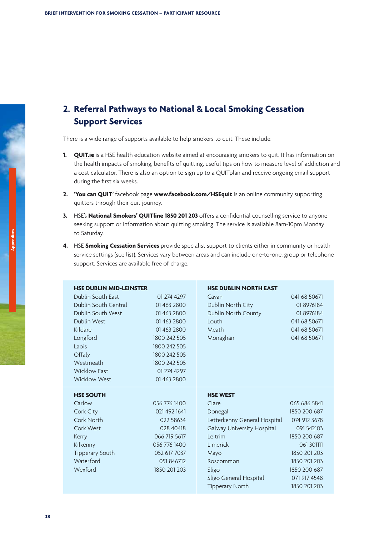### **2. Referral Pathways to National & Local Smoking Cessation Support Services**

There is a wide range of supports available to help smokers to quit. These include:

- **1. [QUIT.ie](http://www.QUIT.ie)** is a HSE health education website aimed at encouraging smokers to quit. It has information on the health impacts of smoking, benefits of quitting, useful tips on how to measure level of addiction and a cost calculator. There is also an option to sign up to a QUITplan and receive ongoing email support during the first six weeks.
- **2. 'You can QUIT'** facebook page **[www.facebook.com/HSEquit](http://www.facebook.com/HSEquit)** is an online community supporting quitters through their quit journey.
- **3.** HSE's **National Smokers' QUITline 1850 201 203** offers a confidential counselling service to anyone seeking support or information about quitting smoking. The service is available 8am-10pm Monday to Saturday.
- **4.** HSE **Smoking Cessation Services** provide specialist support to clients either in community or health service settings (see list). Services vary between areas and can include one-to-one, group or telephone support. Services are available free of charge.

| <b>HSE DUBLIN MID-LEINSTER</b> |              | <b>HSE DUBLIN NORTH EAST</b> |               |
|--------------------------------|--------------|------------------------------|---------------|
| Dublin South East              | 01 274 4297  | Cavan                        | 041 68 50 671 |
| Dublin South Central           | 01 463 2800  | Dublin North City            | 018976184     |
| Dublin South West              | 01 463 2800  | Dublin North County          | 018976184     |
| Dublin West                    | 01 463 2800  | Louth                        | 041 68 50 671 |
| Kildare                        | 01 463 2800  | Meath                        | 041 68 50 671 |
| Longford                       | 1800 242 505 | Monaghan                     | 041 68 50 671 |
| Laois                          | 1800 242 505 |                              |               |
| Offaly                         | 1800 242 505 |                              |               |
| Westmeath                      | 1800 242 505 |                              |               |
| <b>Wicklow East</b>            | 01 274 4297  |                              |               |
| <b>Wicklow West</b>            | 01 463 2800  |                              |               |
|                                |              |                              |               |
| <b>HSE SOUTH</b>               |              | <b>HSE WEST</b>              |               |
| Carlow                         | 056 776 1400 | Clare                        | 065 686 5841  |
| Cork City                      | 021 492 1641 | Donegal                      | 1850 200 687  |
| Cork North                     | 022 58634    | Letterkenny General Hospital | 074 912 3678  |
| Cork West                      | 028 40418    | Galway University Hospital   | 091 542103    |
| Kerry                          | 066 719 5617 | Leitrim                      | 1850 200 687  |
| Kilkenny                       | 056 776 1400 | Limerick                     | 061 301111    |
| <b>Tipperary South</b>         | 052 617 7037 | Mayo                         | 1850 201 203  |
| Waterford                      | 051 846712   | Roscommon                    | 1850 201 203  |
| Wexford                        | 1850 201 203 | Sligo                        | 1850 200 687  |
|                                |              | Sligo General Hospital       | 071 917 4548  |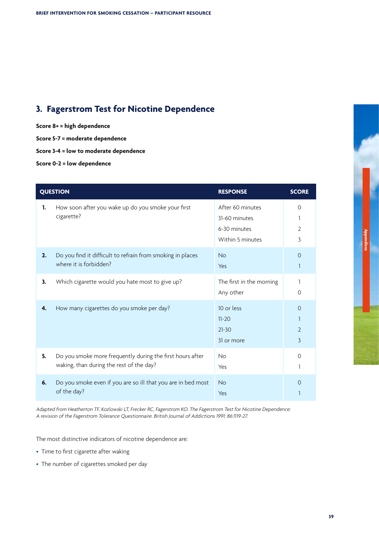## **3. Fagerstrom Test for Nicotine Dependence**

**Score 8+ = high dependence**

**Score 5-7 = moderate dependence**

**Score 3-4 = low to moderate dependence**

**Score 0-2 = low dependence**

|    | <b>QUESTION</b>                                                                                       | <b>RESPONSE</b>                                                       | <b>SCORE</b>                    |
|----|-------------------------------------------------------------------------------------------------------|-----------------------------------------------------------------------|---------------------------------|
| 1. | How soon after you wake up do you smoke your first<br>cigarette?                                      | After 60 minutes<br>31-60 minutes<br>6-30 minutes<br>Within 5 minutes | $\circ$<br>$\overline{2}$<br>3  |
| 2. | Do you find it difficult to refrain from smoking in places<br>where it is forbidden?                  | <b>No</b><br>Yes                                                      | $\Omega$<br>1                   |
| 3. | Which cigarette would you hate most to give up?                                                       | The first in the morning<br>Any other                                 | 1<br>$\Omega$                   |
| 4. | How many cigarettes do you smoke per day?                                                             | 10 or less<br>$11 - 20$<br>$21 - 30$<br>31 or more                    | $\Omega$<br>$\overline{2}$<br>3 |
| 5. | Do you smoke more frequently during the first hours after<br>waking, than during the rest of the day? | <b>No</b><br>Yes                                                      | $\Omega$<br>1                   |
| 6. | Do you smoke even if you are so ill that you are in bed most<br>of the day?                           | <b>No</b><br>Yes                                                      | $\Omega$                        |

Adapted from Heatherton TF, Kozlowski LT, Frecker RC, Fagerstrom KO. The Fagerstrom Test for Nicotine Dependence: <sup>A</sup> revision of the Fagerstrom Tolerance Questionnaire. British Journal of Addictions 1991; 86:1119-27.

The most distinctive indicators of nicotine dependence are:

- Time to first cigarette after waking
- The number of cigarettes smoked per day

**Appendices**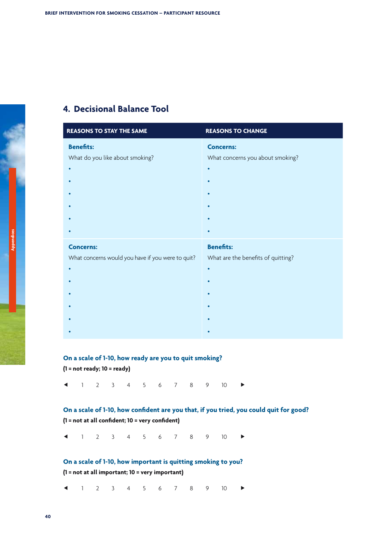### **4. Decisional Balance Tool**

| <b>REASONS TO STAY THE SAME</b>                                       | <b>REASONS TO CHANGE</b>                                            |
|-----------------------------------------------------------------------|---------------------------------------------------------------------|
| <b>Benefits:</b><br>What do you like about smoking?                   | <b>Concerns:</b><br>What concerns you about smoking?<br>$\bullet$   |
| <b>Concerns:</b><br>What concerns would you have if you were to quit? | <b>Benefits:</b><br>What are the benefits of quitting?<br>$\bullet$ |

### **On a scale of 1-10, how ready are you to quit smoking?**

**(1 = not ready; 10 = ready)**

 $1 2 3 4 5 6 7 8 9 10$ 

### **On a scale of 1-10, how confident are you that, if you tried, you could quit for good? (1 = not at all confident; 10 = very confident)**

 $1 7 3 4 5 6 7 8 9 10$ 

### **On a scale of 1-10, how important is quitting smoking to you?**

**(1 = not at all important; 10 = very important)**

 $1 2 3 4 5 6 7 8 9 10$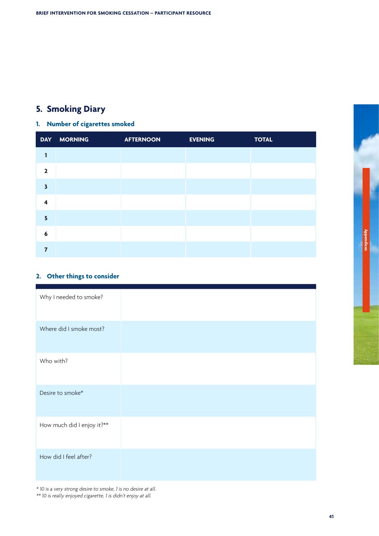## **5. Smoking Diary**

## **1. Number of cigarettes smoked**

|                         | DAY MORNING | <b>AFTERNOON</b> | <b>EVENING</b> | <b>TOTAL</b> |
|-------------------------|-------------|------------------|----------------|--------------|
| 1                       |             |                  |                |              |
| $\overline{2}$          |             |                  |                |              |
| $\overline{\mathbf{3}}$ |             |                  |                |              |
| $\overline{\mathbf{4}}$ |             |                  |                |              |
| $\overline{\mathbf{5}}$ |             |                  |                |              |
| 6                       |             |                  |                |              |
| $\overline{7}$          |             |                  |                |              |

### **2. Other things to consider**

| Why I needed to smoke?     |
|----------------------------|
| Where did I smoke most?    |
| Who with?                  |
| Desire to smoke*           |
| How much did I enjoy it?** |
| How did I feel after?      |

\* <sup>10</sup> is <sup>a</sup> very strong desire to smoke, <sup>1</sup> is no desire at all. \*\* <sup>10</sup> is really enjoyed cigarette, <sup>1</sup> is didn't enjoy at all.

**Appendices**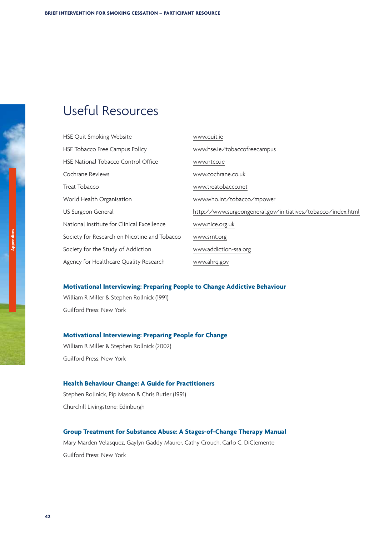# <span id="page-43-0"></span>Useful Resources

| HSE Quit Smoking Website                     | www.quit.ie                                                  |
|----------------------------------------------|--------------------------------------------------------------|
| HSE Tobacco Free Campus Policy               | www.hse.ie/tobaccofreecampus                                 |
| <b>HSE National Tobacco Control Office</b>   | www.ntco.ie                                                  |
| Cochrane Reviews                             | www.cochrane.co.uk                                           |
| Treat Tobacco                                | www.treatobacco.net                                          |
| World Health Organisation                    | www.who.int/tobacco/mpower                                   |
| US Surgeon General                           | http://www.surgeongeneral.gov/initiatives/tobacco/index.html |
| National Institute for Clinical Excellence   | www.nice.org.uk                                              |
| Society for Research on Nicotine and Tobacco | www.srnt.org                                                 |
| Society for the Study of Addiction           | www.addiction-ssa.org                                        |
| Agency for Healthcare Quality Research       | www.ahrq.gov                                                 |

### **Motivational Interviewing: Preparing People to Change Addictive Behaviour**

William R Miller & Stephen Rollnick (1991) Guilford Press: New York

### **Motivational Interviewing: Preparing People for Change**

William R Miller & Stephen Rollnick (2002) Guilford Press: New York

### **Health Behaviour Change: A Guide for Practitioners**

Stephen Rollnick, Pip Mason & Chris Butler (1991) Churchill Livingstone: Edinburgh

### **Group Treatment for Substance Abuse: A Stages-of-Change Therapy Manual**

Mary Marden Velasquez, Gaylyn Gaddy Maurer, Cathy Crouch, Carlo C. DiClemente Guilford Press: New York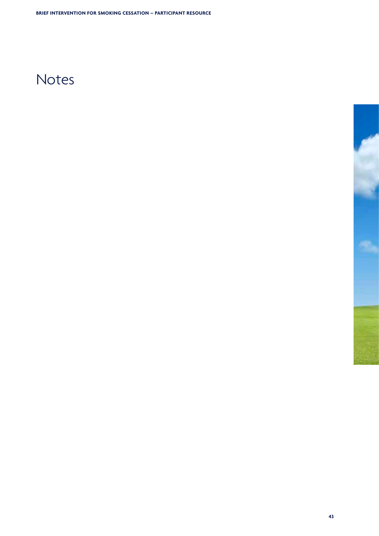# Notes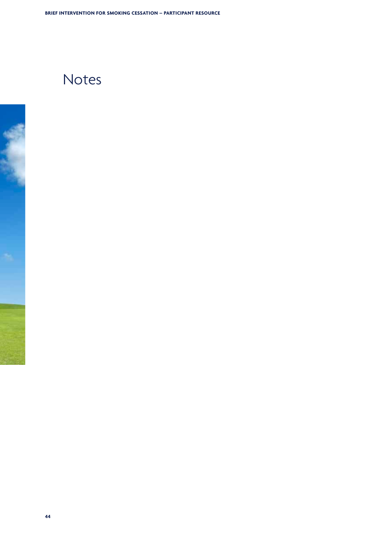# Notes